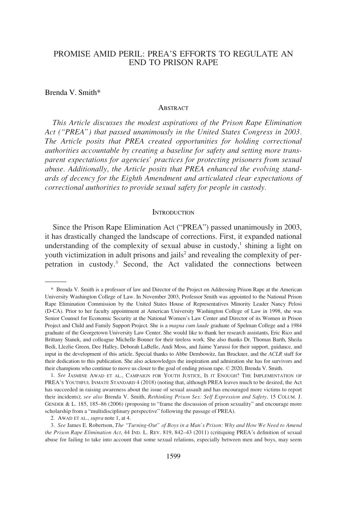# PROMISE AMID PERIL: PREA'S EFFORTS TO REGULATE AN END TO PRISON RAPE

#### Brenda V. Smith\*

#### **ABSTRACT**

*This Article discusses the modest aspirations of the Prison Rape Elimination Act ("PREA") that passed unanimously in the United States Congress in 2003. The Article posits that PREA created opportunities for holding correctional authorities accountable by creating a baseline for safety and setting more transparent expectations for agencies' practices for protecting prisoners from sexual abuse. Additionally, the Article posits that PREA enhanced the evolving standards of decency for the Eighth Amendment and articulated clear expectations of correctional authorities to provide sexual safety for people in custody.* 

#### **INTRODUCTION**

Since the Prison Rape Elimination Act ("PREA") passed unanimously in 2003, it has drastically changed the landscape of corrections. First, it expanded national understanding of the complexity of sexual abuse in custody, $\frac{1}{2}$  shining a light on youth victimization in adult prisons and jails<sup>2</sup> and revealing the complexity of perpetration in custody.3 Second, the Act validated the connections between

<sup>\*</sup> Brenda V. Smith is a professor of law and Director of the Project on Addressing Prison Rape at the American University Washington College of Law. In November 2003, Professor Smith was appointed to the National Prison Rape Elimination Commission by the United States House of Representatives Minority Leader Nancy Pelosi (D-CA). Prior to her faculty appointment at American University Washington College of Law in 1998, she was Senior Counsel for Economic Security at the National Women's Law Center and Director of its Women in Prison Project and Child and Family Support Project. She is a *magna cum laude* graduate of Spelman College and a 1984 graduate of the Georgetown University Law Center. She would like to thank her research assistants, Eric Rico and Brittany Stanek, and colleague Michelle Bonner for their tireless work. She also thanks Dr. Thomas Barth, Sheila Bedi, Llezlie Green, Dee Halley, Deborah LaBelle, Andi Moss, and Jaime Yarussi for their support, guidance, and input in the development of this article. Special thanks to Abbe Dembowitz, Ian Bruckner, and the *ACLR* staff for their dedication to this publication. She also acknowledges the inspiration and admiration she has for survivors and their champions who continue to move us closer to the goal of ending prison rape. © 2020, Brenda V. Smith.

<sup>1.</sup> *See* JASMINE AWAD ET AL., CAMPAIGN FOR YOUTH JUSTICE, IS IT ENOUGH? THE IMPLEMENTATION OF PREA'S YOUTHFUL INMATE STANDARD 4 (2018) (noting that, although PREA leaves much to be desired, the Act has succeeded in raising awareness about the issue of sexual assault and has encouraged more victims to report their incidents); *see also* Brenda V. Smith, *Rethinking Prison Sex: Self Expression and Safety*, 15 COLUM. J. GENDER & L. 185, 185–86 (2006) (proposing to "frame the discussion of prison sexuality" and encourage more scholarship from a "multidisciplinary perspective" following the passage of PREA).

<sup>2.</sup> AWAD ET AL., *supra* note 1, at 4.

<sup>3.</sup> *See* James E. Robertson, *The "Turning-Out" of Boys in a Man's Prison: Why and How We Need to Amend the Prison Rape Elimination Act*, 44 IND. L. REV. 819, 842–43 (2011) (critiquing PREA's definition of sexual abuse for failing to take into account that some sexual relations, especially between men and boys, may seem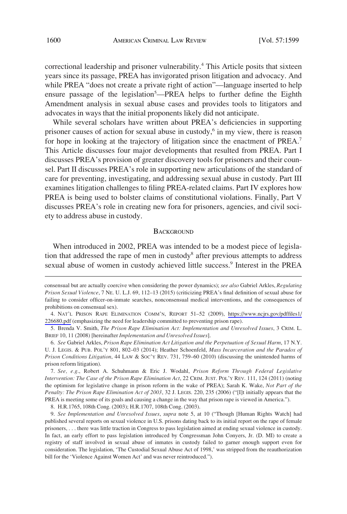correctional leadership and prisoner vulnerability.<sup>4</sup> This Article posits that sixteen years since its passage, PREA has invigorated prison litigation and advocacy. And while PREA "does not create a private right of action"—language inserted to help ensure passage of the legislation<sup>5</sup>—PREA helps to further define the Eighth Amendment analysis in sexual abuse cases and provides tools to litigators and advocates in ways that the initial proponents likely did not anticipate.

While several scholars have written about PREA's deficiencies in supporting prisoner causes of action for sexual abuse in custody, $6$  in my view, there is reason for hope in looking at the trajectory of litigation since the enactment of PREA.<sup>7</sup> This Article discusses four major developments that resulted from PREA. Part I discusses PREA's provision of greater discovery tools for prisoners and their counsel. Part II discusses PREA's role in supporting new articulations of the standard of care for preventing, investigating, and addressing sexual abuse in custody. Part III examines litigation challenges to filing PREA-related claims. Part IV explores how PREA is being used to bolster claims of constitutional violations. Finally, Part V discusses PREA's role in creating new fora for prisoners, agencies, and civil society to address abuse in custody.

#### **BACKGROUND**

When introduced in 2002, PREA was intended to be a modest piece of legislation that addressed the rape of men in custody<sup>8</sup> after previous attempts to address sexual abuse of women in custody achieved little success.<sup>9</sup> Interest in the PREA

7. *See, e.g*., Robert A. Schuhmann & Eric J. Wodahl, *Prison Reform Through Federal Legislative Intervention: The Case of the Prison Rape Elimination Act*, 22 CRIM. JUST. POL'Y REV. 111, 124 (2011) (noting the optimism for legislative change in prison reform in the wake of PREA); Sarah K. Wake, *Not Part of the Penalty: The Prison Rape Elimination Act of 2003*, 32 J. LEGIS. 220, 235 (2006) ("[I]t initially appears that the PREA is meeting some of its goals and causing a change in the way that prison rape is viewed in America.").

8. H.R.1765, 108th Cong. (2003); H.R.1707, 108th Cong. (2003).

consensual but are actually coercive when considering the power dynamics); *see also* Gabriel Arkles, *Regulating Prison Sexual Violence*, 7 NE. U. L.J. 69, 112–13 (2015) (criticizing PREA's final definition of sexual abuse for failing to consider officer-on-inmate searches, nonconsensual medical interventions, and the consequences of prohibitions on consensual sex).

NAT'L PRISON RAPE ELIMINATION COMM'N, REPORT 51–52 (2009), [https://www.ncjrs.gov/pdffiles1/](https://www.ncjrs.gov/pdffiles1/226680.pdf) 4. [226680.pdf](https://www.ncjrs.gov/pdffiles1/226680.pdf) (emphasizing the need for leadership committed to preventing prison rape).

<sup>5.</sup> Brenda V. Smith, *The Prison Rape Elimination Act: Implementation and Unresolved Issues*, 3 CRIM. L. BRIEF 10, 11 (2008) [hereinafter *Implementation and Unresolved Issues*].

<sup>6.</sup> *See* Gabriel Arkles, *Prison Rape Elimination Act Litigation and the Perpetuation of Sexual Harm*, 17 N.Y. U. J. LEGIS. & PUB. POL'Y 801, 802–03 (2014); Heather Schoenfeld, *Mass Incarceration and the Paradox of Prison Conditions Litigation*, 44 LAW & SOC'Y REV. 731, 759–60 (2010) (discussing the unintended harms of prison reform litigation).

<sup>9.</sup> *See Implementation and Unresolved Issues*, *supra* note 5, at 10 ("Though [Human Rights Watch] had published several reports on sexual violence in U.S. prisons dating back to its initial report on the rape of female prisoners, . . . there was little traction in Congress to pass legislation aimed at ending sexual violence in custody. In fact, an early effort to pass legislation introduced by Congressman John Conyers, Jr. (D. MI) to create a registry of staff involved in sexual abuse of inmates in custody failed to garner enough support even for consideration. The legislation, 'The Custodial Sexual Abuse Act of 1998,' was stripped from the reauthorization bill for the 'Violence Against Women Act' and was never reintroduced.").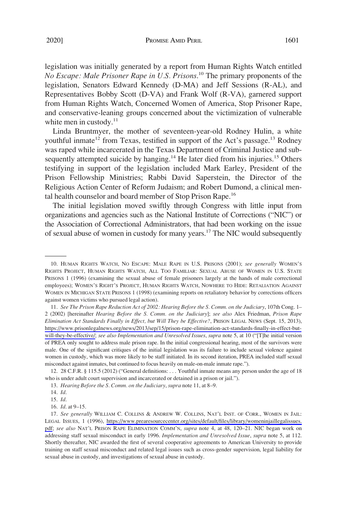legislation was initially generated by a report from Human Rights Watch entitled *No Escape: Male Prisoner Rape in U.S. Prisons*. 10 The primary proponents of the legislation, Senators Edward Kennedy (D-MA) and Jeff Sessions (R-AL), and Representatives Bobby Scott (D-VA) and Frank Wolf (R-VA), garnered support from Human Rights Watch, Concerned Women of America, Stop Prisoner Rape, and conservative-leaning groups concerned about the victimization of vulnerable white men in custody.<sup>11</sup>

Linda Bruntmyer, the mother of seventeen-year-old Rodney Hulin, a white youthful inmate<sup>12</sup> from Texas, testified in support of the Act's passage.<sup>13</sup> Rodney was raped while incarcerated in the Texas Department of Criminal Justice and subsequently attempted suicide by hanging.<sup>14</sup> He later died from his injuries.<sup>15</sup> Others testifying in support of the legislation included Mark Earley, President of the Prison Fellowship Ministries; Rabbi David Saperstein, the Director of the Religious Action Center of Reform Judaism; and Robert Dumond, a clinical mental health counselor and board member of Stop Prison Rape.<sup>16</sup>

The initial legislation moved swiftly through Congress with little input from organizations and agencies such as the National Institute of Corrections ("NIC") or the Association of Correctional Administrators, that had been working on the issue of sexual abuse of women in custody for many years.<sup>17</sup> The NIC would subsequently

<sup>10.</sup> HUMAN RIGHTS WATCH, NO ESCAPE: MALE RAPE IN U.S. PRISONS (2001); *see generally* WOMEN'S RIGHTS PROJECT, HUMAN RIGHTS WATCH, ALL TOO FAMILIAR: SEXUAL ABUSE OF WOMEN IN U.S. STATE PRISONS 1 (1996) (examining the sexual abuse of female prisoners largely at the hands of male correctional employees); WOMEN'S RIGHT'S PROJECT, HUMAN RIGHTS WATCH, NOWHERE TO HIDE: RETALIATION AGAINST WOMEN IN MICHIGAN STATE PRISONS 1 (1998) (examining reports on retaliatory behavior by corrections officers against women victims who pursued legal action).

*See The Prison Rape Reduction Act of 2002: Hearing Before the S. Comm. on the Judiciary*, 107th Cong. 1– 11. 2 (2002) [hereinafter *Hearing Before the S. Comm. on the Judiciary*]; *see also* Alex Friedman, *Prison Rape Elimination Act Standards Finally in Effect, but Will They be Effective?*, PRISON LEGAL NEWS (Sept. 15, 2013), [https://www.prisonlegalnews.org/news/2013/sep/15/prison-rape-elimination-act-standards-finally-in-effect-but](https://www.prisonlegalnews.org/news/2013/sep/15/prison-rape-elimination-act-standards-finally-in-effect-but-will-they-be-effective/)[will-they-be-effective/](https://www.prisonlegalnews.org/news/2013/sep/15/prison-rape-elimination-act-standards-finally-in-effect-but-will-they-be-effective/); see also Implementation and Unresolved Issues, *supra* note 5, at 10 ("[T]he initial version of PREA only sought to address male prison rape. In the initial congressional hearing, most of the survivors were male. One of the significant critiques of the initial legislation was its failure to include sexual violence against women in custody, which was more likely to be staff initiated. In its second iteration, PREA included staff sexual misconduct against inmates, but continued to focus heavily on male-on-male inmate rape.").

<sup>12. 28</sup> C.F.R. § 115.5 (2012) ("General definitions: . . . Youthful inmate means any person under the age of 18 who is under adult court supervision and incarcerated or detained in a prison or jail.").

<sup>13.</sup> *Hearing Before the S. Comm. on the Judiciary*, *supra* note 11, at 8–9.

<sup>14.</sup> *Id*.

<sup>15.</sup> *Id*.

<sup>16.</sup> *Id*. at 9–15.

<sup>17.</sup> See generally WILLIAM C. COLLINS & ANDREW W. COLLINS, NAT'L INST. OF CORR., WOMEN IN JAIL: LEGAL ISSUES, 1 (1996), [https://www.prearesourcecenter.org/sites/default/files/library/womeninjaillegalissues.](https://www.prearesourcecenter.org/sites/default/files/library/womeninjaillegalissues.pdf)  [pdf;](https://www.prearesourcecenter.org/sites/default/files/library/womeninjaillegalissues.pdf) *see also* NAT'L PRISON RAPE ELIMINATION COMM'N, *supra* note 4, at 48, 120–21. NIC began work on addressing staff sexual misconduct in early 1996. *Implementation and Unresolved Issue*, *supra* note 5, at 112. Shortly thereafter, NIC awarded the first of several cooperative agreements to American University to provide training on staff sexual misconduct and related legal issues such as cross-gender supervision, legal liability for sexual abuse in custody, and investigations of sexual abuse in custody.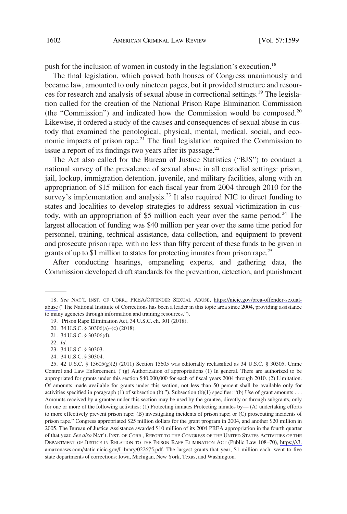push for the inclusion of women in custody in the legislation's execution.<sup>18</sup>

The final legislation, which passed both houses of Congress unanimously and became law, amounted to only nineteen pages, but it provided structure and resources for research and analysis of sexual abuse in correctional settings.19 The legislation called for the creation of the National Prison Rape Elimination Commission (the "Commission") and indicated how the Commission would be composed.20 Likewise, it ordered a study of the causes and consequences of sexual abuse in custody that examined the penological, physical, mental, medical, social, and economic impacts of prison rape.<sup>21</sup> The final legislation required the Commission to issue a report of its findings two years after its passage. $22$ 

The Act also called for the Bureau of Justice Statistics ("BJS") to conduct a national survey of the prevalence of sexual abuse in all custodial settings: prison, jail, lockup, immigration detention, juvenile, and military facilities, along with an appropriation of \$15 million for each fiscal year from 2004 through 2010 for the survey's implementation and analysis.<sup>23</sup> It also required NIC to direct funding to states and localities to develop strategies to address sexual victimization in custody, with an appropriation of \$5 million each year over the same period.<sup>24</sup> The largest allocation of funding was \$40 million per year over the same time period for personnel, training, technical assistance, data collection, and equipment to prevent and prosecute prison rape, with no less than fifty percent of these funds to be given in grants of up to \$1 million to states for protecting inmates from prison rape.<sup>25</sup>

After conducting hearings, empaneling experts, and gathering data, the Commission developed draft standards for the prevention, detection, and punishment

23. 34 U.S.C. § 30303.

<sup>18.</sup> See NAT'L INST. OF CORR., PREA/OFFENDER SEXUAL ABUSE, [https://nicic.gov/prea-offender-sexual](https://nicic.gov/prea-offender-sexual-abuse)[abuse](https://nicic.gov/prea-offender-sexual-abuse) ("The National Institute of Corrections has been a leader in this topic area since 2004, providing assistance to many agencies through information and training resources.").

<sup>19.</sup> Prison Rape Elimination Act, 34 U.S.C. ch. 301 (2018).

<sup>20. 34</sup> U.S.C. § 30306(a)–(c) (2018).

<sup>21. 34</sup> U.S.C. § 30306(d).

<sup>22.</sup> *Id*.

<sup>24. 34</sup> U.S.C. § 30304.

<sup>42</sup> U.S.C. § 15605(g)(2) (2011) Section 15605 was editorially reclassified as 34 U.S.C. § 30305, Crime 25. Control and Law Enforcement. ("(g) Authorization of appropriations (1) In general. There are authorized to be appropriated for grants under this section \$40,000,000 for each of fiscal years 2004 through 2010. (2) Limitation. Of amounts made available for grants under this section, not less than 50 percent shall be available only for activities specified in paragraph (1) of subsection (b)."). Subsection (b)(1) specifies: "(b) Use of grant amounts . . . Amounts received by a grantee under this section may be used by the grantee, directly or through subgrants, only for one or more of the following activities: (1) Protecting inmates Protecting inmates by— (A) undertaking efforts to more effectively prevent prison rape; (B) investigating incidents of prison rape; or (C) prosecuting incidents of prison rape." Congress appropriated \$25 million dollars for the grant program in 2004, and another \$20 million in 2005. The Bureau of Justice Assistance awarded \$10 million of its 2004 PREA appropriation in the fourth quarter of that year. *See also* NAT'L INST. OF CORR., REPORT TO THE CONGRESS OF THE UNITED STATES ACTIVITIES OF THE DEPARTMENT OF JUSTICE IN RELATION TO THE PRISON RAPE ELIMINATION ACT (Public Law 108–70), [https://s3.](https://s3.amazonaws.com/static.nicic.gov/Library/022675.pdf) [amazonaws.com/static.nicic.gov/Library/022675.pdf.](https://s3.amazonaws.com/static.nicic.gov/Library/022675.pdf) The largest grants that year, \$1 million each, went to five state departments of corrections: Iowa, Michigan, New York, Texas, and Washington.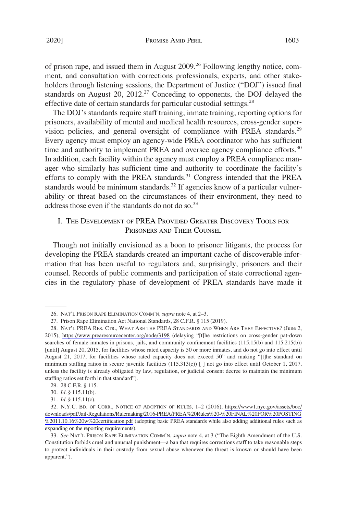of prison rape, and issued them in August 2009.26 Following lengthy notice, comment, and consultation with corrections professionals, experts, and other stakeholders through listening sessions, the Department of Justice ("DOJ") issued final standards on August 20, 2012.<sup>27</sup> Conceding to opponents, the DOJ delayed the effective date of certain standards for particular custodial settings.<sup>28</sup>

The DOJ's standards require staff training, inmate training, reporting options for prisoners, availability of mental and medical health resources, cross-gender supervision policies, and general oversight of compliance with PREA standards.<sup>29</sup> Every agency must employ an agency-wide PREA coordinator who has sufficient time and authority to implement PREA and oversee agency compliance efforts.<sup>30</sup> In addition, each facility within the agency must employ a PREA compliance manager who similarly has sufficient time and authority to coordinate the facility's efforts to comply with the PREA standards.<sup>31</sup> Congress intended that the PREA standards would be minimum standards.<sup>32</sup> If agencies know of a particular vulnerability or threat based on the circumstances of their environment, they need to address those even if the standards do not do so.<sup>33</sup>

# I. THE DEVELOPMENT OF PREA PROVIDED GREATER DISCOVERY TOOLS FOR PRISONERS AND THEIR COUNSEL

Though not initially envisioned as a boon to prisoner litigants, the process for developing the PREA standards created an important cache of discoverable information that has been useful to regulators and, surprisingly, prisoners and their counsel. Records of public comments and participation of state correctional agencies in the regulatory phase of development of PREA standards have made it

<sup>26.</sup> NAT'L PRISON RAPE ELIMINATION COMM'N, *supra* note 4, at 2–3.

<sup>27.</sup> Prison Rape Elimination Act National Standards, 28 C.F.R. § 115 (2019).

<sup>28.</sup> NAT'L PREA RES. CTR., WHAT ARE THE PREA STANDARDS AND WHEN ARE THEY EFFECTIVE? (June 2, 2015), <https://www.prearesourcecenter.org/node/3198>(delaying "[t]he restrictions on cross-gender pat-down searches of female inmates in prisons, jails, and community confinement facilities (115.15(b) and 115.215(b)) [until] August 20, 2015, for facilities whose rated capacity is 50 or more inmates, and do not go into effect until August 21, 2017, for facilities whose rated capacity does not exceed 50" and making "[t]he standard on minimum staffing ratios in secure juvenile facilities (115.313(c)) [] not go into effect until October 1, 2017, unless the facility is already obligated by law, regulation, or judicial consent decree to maintain the minimum staffing ratios set forth in that standard").

<sup>29. 28</sup> C.F.R. § 115.

<sup>30.</sup> *Id*. § 115.11(b).

<sup>31.</sup> *Id*. § 115.11(c).

<sup>32.</sup> N.Y.C. BD. OF CORR., NOTICE OF ADOPTION OF RULES, 1–2 (2016), [https://www1.nyc.gov/assets/boc/](https://www1.nyc.gov/assets/boc/downloads/pdf/Jail-Regulations/Rulemaking/2016-PREA/PREA%20Rules%20-%20FINAL%20FOR%20POSTING%2011.10.16%20w%20certification.pdf) [downloads/pdf/Jail-Regulations/Rulemaking/2016-PREA/PREA%20Rules%20-%20FINAL%20FOR%20POSTING](https://www1.nyc.gov/assets/boc/downloads/pdf/Jail-Regulations/Rulemaking/2016-PREA/PREA%20Rules%20-%20FINAL%20FOR%20POSTING%2011.10.16%20w%20certification.pdf) [%2011.10.16%20w%20certification.pdf](https://www1.nyc.gov/assets/boc/downloads/pdf/Jail-Regulations/Rulemaking/2016-PREA/PREA%20Rules%20-%20FINAL%20FOR%20POSTING%2011.10.16%20w%20certification.pdf) (adopting basic PREA standards while also adding additional rules such as expanding on the reporting requirements).

<sup>33.</sup> *See* NAT'L PRISON RAPE ELIMINATION COMM'N, *supra* note 4, at 3 ("The Eighth Amendment of the U.S. Constitution forbids cruel and unusual punishment—a ban that requires corrections staff to take reasonable steps to protect individuals in their custody from sexual abuse whenever the threat is known or should have been apparent.").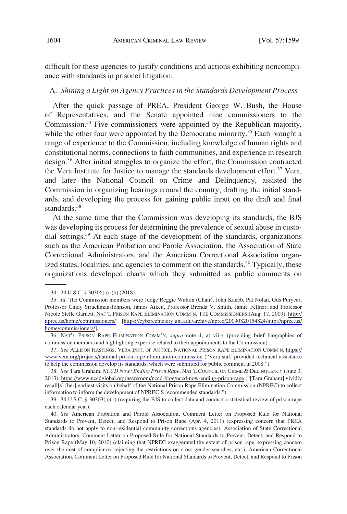difficult for these agencies to justify conditions and actions exhibiting noncompliance with standards in prisoner litigation.

#### A. *Shining a Light on Agency Practices in the Standards Development Process*

After the quick passage of PREA, President George W. Bush, the House of Representatives, and the Senate appointed nine commissioners to the Commission.34 Five commissioners were appointed by the Republican majority, while the other four were appointed by the Democratic minority.<sup>35</sup> Each brought a range of experience to the Commission, including knowledge of human rights and constitutional norms, connections to faith communities, and experience in research design.36 After initial struggles to organize the effort, the Commission contracted the Vera Institute for Justice to manage the standards development effort.<sup>37</sup> Vera, and later the National Council on Crime and Delinquency, assisted the Commission in organizing hearings around the country, drafting the initial standards, and developing the process for gaining public input on the draft and final standards.<sup>38</sup>

At the same time that the Commission was developing its standards, the BJS was developing its process for determining the prevalence of sexual abuse in custodial settings.<sup>39</sup> At each stage of the development of the standards, organizations such as the American Probation and Parole Association, the Association of State Correctional Administrators, and the American Correctional Association organized states, localities, and agencies to comment on the standards.<sup>40</sup> Typically, these organizations developed charts which they submitted as public comments on

<sup>34. 34</sup> U.S.C. § 30306(a)–(b) (2018).

<sup>35.</sup> *Id.* The Commission members were Judge Reggie Walton (Chair), John Kaneb, Pat Nolan, Gus Puryear, Professor Cindy Struckman-Johnson, James Aiken, Professor Brenda V. Smith, Jamie Fellner, and Professor Nicole Stelle Garnett. NAT'L PRISON RAPE ELIMINATION COMM'N, THE COMMISSIONERS (Aug. 17, 2009), [http://](http://nprec.us/home/commissioners/) [nprec.us/home/commissioners/](http://nprec.us/home/commissioners/) [\[https://cybercemetery.unt.edu/archive/nprec/20090820154824/http://nprec.us/](https://cybercemetery.unt.edu/archive/nprec/20090820154824/http://nprec.us/home/commissioners/) [home/commissioners/](https://cybercemetery.unt.edu/archive/nprec/20090820154824/http://nprec.us/home/commissioners/)].

<sup>36.</sup> NAT'L PRISON RAPE ELIMINATION COMM'N, *supra* note 4, at vii-x (providing brief biographies of commission members and highlighting expertise related to their appointments to the Commission).

*See* ALLISON HASTINGS, VERA INST. OF JUSTICE, NATIONAL PRISON RAPE ELIMINATION COMM'N, [https://](https://www.vera.org/projects/national-prison-rape-elimination-commission) 37. [www.vera.org/projects/national-prison-rape-elimination-commission](https://www.vera.org/projects/national-prison-rape-elimination-commission) ("Vera staff provided technical assistance to help the commission develop its standards, which were submitted for public comment in 2008.").

*See* Tara Graham, *NCCD Now: Ending Prison Rape*, NAT'L COUNCIL ON CRIME & DELINQUENCY (June 3, 38. 2013), <https://www.nccdglobal.org/newsroom/nccd-blog/nccd-now-ending-prison-rape>("[Tara Graham] vividly recall[s] [her] earliest visits on behalf of the National Prison Rape Elimination Commission (NPREC) to collect information to inform the development of NPREC'S recommended standards.").

<sup>39. 34</sup> U.S.C. § 30303(a)(1) (requiring the BJS to collect data and conduct a statistical review of prison rape each calendar year).

<sup>40.</sup> *See* American Probation and Parole Association, Comment Letter on Proposed Rule for National Standards to Prevent, Detect, and Respond to Prison Rape (Apr. 4, 2011) (expressing concern that PREA standards do not apply to non-residential community corrections agencies); Association of State Correctional Administrators, Comment Letter on Proposed Rule for National Standards to Prevent, Detect, and Respond to Prison Rape (May 10, 2010) (claiming that NPREC exaggerated the extent of prison rape, expressing concern over the cost of compliance, rejecting the restrictions on cross-gender searches, etc.); American Correctional Association, Comment Letter on Proposed Rule for National Standards to Prevent, Detect, and Respond to Prison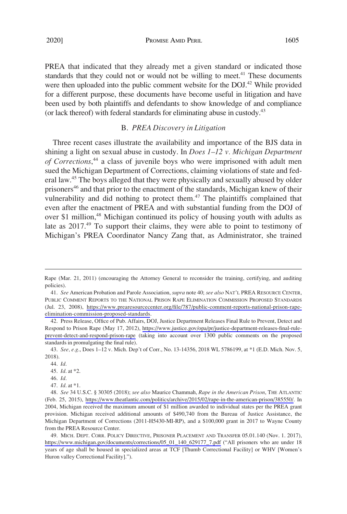2020] **PROMISE AMID PERIL 1605** 

PREA that indicated that they already met a given standard or indicated those standards that they could not or would not be willing to meet.<sup>41</sup> These documents were then uploaded into the public comment website for the DOJ.<sup>42</sup> While provided for a different purpose, these documents have become useful in litigation and have been used by both plaintiffs and defendants to show knowledge of and compliance (or lack thereof) with federal standards for eliminating abuse in custody.43

## B. *PREA Discovery in Litigation*

Three recent cases illustrate the availability and importance of the BJS data in shining a light on sexual abuse in custody. In *Does 1–12 v. Michigan Department of Corrections*, 44 a class of juvenile boys who were imprisoned with adult men sued the Michigan Department of Corrections, claiming violations of state and federal law.45 The boys alleged that they were physically and sexually abused by older prisoners<sup>46</sup> and that prior to the enactment of the standards, Michigan knew of their vulnerability and did nothing to protect them. $47$  The plaintiffs complained that even after the enactment of PREA and with substantial funding from the DOJ of over \$1 million,<sup>48</sup> Michigan continued its policy of housing youth with adults as late as 2017.<sup>49</sup> To support their claims, they were able to point to testimony of Michigan's PREA Coordinator Nancy Zang that, as Administrator, she trained

Rape (Mar. 21, 2011) (encouraging the Attorney General to reconsider the training, certifying, and auditing policies).

*See* American Probation and Parole Association, *supra* note 40; *see also* NAT'L PREA RESOURCE CENTER, 41. PUBLIC COMMENT REPORTS TO THE NATIONAL PRISON RAPE ELIMINATION COMMISSION PROPOSED STANDARDS (Jul. 23, 2008), [https://www.prearesourcecenter.org/file/787/public-comment-reports-national-prison-rape](https://www.prearesourcecenter.org/file/787/public-comment-reports-national-prison-rape-elimination-commission-proposed-standards)[elimination-commission-proposed-standards](https://www.prearesourcecenter.org/file/787/public-comment-reports-national-prison-rape-elimination-commission-proposed-standards).

<sup>42.</sup> Press Release, Office of Pub. Affairs, DOJ, Justice Department Releases Final Rule to Prevent, Detect and Respond to Prison Rape (May 17, 2012), [https://www.justice.gov/opa/pr/justice-department-releases-final-rule](https://www.justice.gov/opa/pr/justice-department-releases-final-rule-prevent-detect-and-respond-prison-rape)[prevent-detect-and-respond-prison-rape](https://www.justice.gov/opa/pr/justice-department-releases-final-rule-prevent-detect-and-respond-prison-rape) (taking into account over 1300 public comments on the proposed standards in promulgating the final rule).

<sup>43.</sup> *See, e.g*., Does 1–12 v. Mich. Dep't of Corr., No. 13-14356, 2018 WL 5786199, at \*1 (E.D. Mich. Nov. 5, 2018).

<sup>44.</sup> *Id*.

<sup>45.</sup> *Id*. at \*2.

<sup>46.</sup> *Id*.

<sup>47.</sup> *Id*. at \*1.

*See* 34 U.S.C. § 30305 (2018); *see also* Maurice Chammah, *Rape in the American Prison*, THE ATLANTIC 48. (Feb. 25, 2015), <https://www.theatlantic.com/politics/archive/2015/02/rape-in-the-american-prison/385550/>. In 2004, Michigan received the maximum amount of \$1 million awarded to individual states per the PREA grant provision. Michigan received additional amounts of \$490,740 from the Bureau of Justice Assistance, the Michigan Department of Corrections (2011-H5430-MI-RP), and a \$100,000 grant in 2017 to Wayne County from the PREA Resource Center.

<sup>49.</sup> MICH. DEPT. CORR. POLICY DIRECTIVE, PRISONER PLACEMENT AND TRANSFER 05.01.140 (Nov. 1. 2017), [https://www.michigan.gov/documents/corrections/05\\_01\\_140\\_629177\\_7.pdf](https://www.michigan.gov/documents/corrections/05_01_140_629177_7.pdf) ("All prisoners who are under 18 years of age shall be housed in specialized areas at TCF [Thumb Correctional Facility] or WHV [Women's Huron valley Correctional Facility].").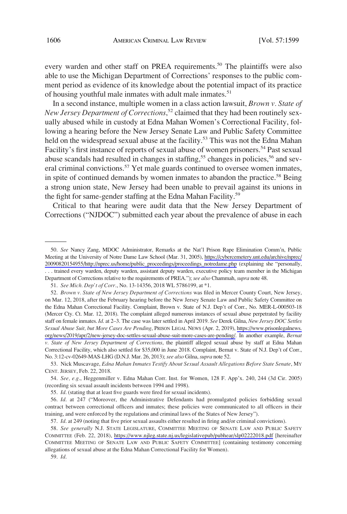every warden and other staff on PREA requirements.<sup>50</sup> The plaintiffs were also able to use the Michigan Department of Corrections' responses to the public comment period as evidence of its knowledge about the potential impact of its practice of housing youthful male inmates with adult male inmates.<sup>51</sup>

In a second instance, multiple women in a class action lawsuit, *Brown v. State of New Jersey Department of Corrections*, 52 claimed that they had been routinely sexually abused while in custody at Edna Mahan Women's Correctional Facility, following a hearing before the New Jersey Senate Law and Public Safety Committee held on the widespread sexual abuse at the facility.<sup>53</sup> This was not the Edna Mahan Facility's first instance of reports of sexual abuse of women prisoners.<sup>54</sup> Past sexual abuse scandals had resulted in changes in staffing,<sup>55</sup> changes in policies,<sup>56</sup> and several criminal convictions.<sup>57</sup> Yet male guards continued to oversee women inmates, in spite of continued demands by women inmates to abandon the practice.<sup>58</sup> Being a strong union state, New Jersey had been unable to prevail against its unions in the fight for same-gender staffing at the Edna Mahan Facility.<sup>59</sup>

Critical to that hearing were audit data that the New Jersey Department of Corrections ("NJDOC") submitted each year about the prevalence of abuse in each

<sup>50.</sup> See Nancy Zang, MDOC Administrator, Remarks at the Nat'l Prison Rape Elimination Comm'n, Public Meeting at the University of Notre Dame Law School (Mar. 31, 2005), [https://cybercemetery.unt.edu/archive/nprec/](https://cybercemetery.unt.edu/archive/nprec/20090820154955/http://nprec.us/home/public_proceedings/proceedings_notredame.php)  [20090820154955/http://nprec.us/home/public\\_proceedings/proceedings\\_notredame.php](https://cybercemetery.unt.edu/archive/nprec/20090820154955/http://nprec.us/home/public_proceedings/proceedings_notredame.php) (explaining she "personally, . . . trained every warden, deputy warden, assistant deputy warden, executive policy team member in the Michigan Department of Corrections relative to the requirements of PREA."); *see also* Chammah, *supra* note 48.

<sup>51.</sup> *See Mich. Dep't of Corr*., No. 13-14356, 2018 WL 5786199, at \*1.

<sup>52.</sup> Brown v. State of New Jersey Department of Corrections was filed in Mercer County Court, New Jersey, on Mar. 12, 2018, after the February hearing before the New Jersey Senate Law and Public Safety Committee on the Edna Mahan Correctional Facility. Complaint, Brown v. State of N.J. Dep't of Corr., No. MER-L-000503-18 (Mercer Cty. Ct. Mar. 12, 2018). The complaint alleged numerous instances of sexual abuse perpetrated by facility staff on female inmates. *Id*. at 2–3. The case was later settled in April 2019. *See* Derek Gilna, *New Jersey DOC Settles Sexual Abuse Suit, but More Cases Are Pending*, PRISON LEGAL NEWS (Apr. 2, 2019), [https://www.prisonlegalnews.](https://www.prisonlegalnews.org/news/2019/apr/2/new-jersey-doc-settles-sexual-abuse-suit-more-cases-are-pending/)  [org/news/2019/apr/2/new-jersey-doc-settles-sexual-abuse-suit-more-cases-are-pending/.](https://www.prisonlegalnews.org/news/2019/apr/2/new-jersey-doc-settles-sexual-abuse-suit-more-cases-are-pending/) In another example, *Bernat v. State of New Jersey Department of Corrections*, the plaintiff alleged sexual abuse by staff at Edna Mahan Correctional Facility, which also settled for \$35,000 in June 2018. Complaint, Bernat v. State of N.J. Dep't of Corr., No. 3:12-cv-02649-MAS-LHG (D.N.J. Mar. 26, 2013); *see also* Gilna, *supra* note 52.

<sup>53.</sup> Nick Muscavage, *Edna Mahan Inmates Testify About Sexual Assault Allegations Before State Senate*, MY CENT. JERSEY, Feb. 22, 2018.

<sup>54.</sup> *See, e.g*., Heggenmiller v. Edna Mahan Corr. Inst. for Women, 128 F. App'x. 240, 244 (3d Cir. 2005) (recording six sexual assault incidents between 1994 and 1998).

<sup>55.</sup> *Id*. (stating that at least five guards were fired for sexual incidents).

<sup>56.</sup> *Id*. at 247 ("Moreover, the Administrative Defendants had promulgated policies forbidding sexual contract between correctional officers and inmates; these policies were communicated to all officers in their training, and were enforced by the regulations and criminal laws of the States of New Jersey").

<sup>57.</sup> *Id*. at 249 (noting that five prior sexual assaults either resulted in firing and/or criminal convictions).

<sup>58.</sup> See generally N.J. STATE LEGISLATURE, COMMITTEE MEETING OF SENATE LAW AND PUBLIC SAFETY COMMITTEE (Feb. 22, 2018), <https://www.njleg.state.nj.us/legislativepub/pubhear/slp02222018.pdf>[hereinafter COMMITTEE MEETING OF SENATE LAW AND PUBLIC SAFETY COMMITTEE] (containing testimony concerning allegations of sexual abuse at the Edna Mahan Correctional Facility for Women).

<sup>59.</sup> *Id*.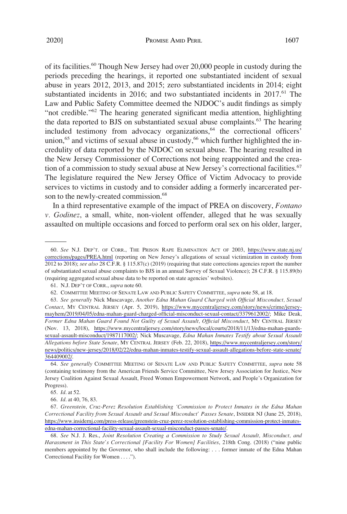of its facilities.<sup>60</sup> Though New Jersey had over 20,000 people in custody during the periods preceding the hearings, it reported one substantiated incident of sexual abuse in years 2012, 2013, and 2015; zero substantiated incidents in 2014; eight substantiated incidents in 2016; and two substantiated incidents in  $2017<sup>61</sup>$  The Law and Public Safety Committee deemed the NJDOC's audit findings as simply "not credible."62 The hearing generated significant media attention, highlighting the data reported to BJS on substantiated sexual abuse complaints.<sup>63</sup> The hearing included testimony from advocacy organizations, $64$  the correctional officers' union, $65$  and victims of sexual abuse in custody, $66$  which further highlighted the incredulity of data reported by the NJDOC on sexual abuse. The hearing resulted in the New Jersey Commissioner of Corrections not being reappointed and the creation of a commission to study sexual abuse at New Jersey's correctional facilities.<sup>67</sup> The legislature required the New Jersey Office of Victim Advocacy to provide services to victims in custody and to consider adding a formerly incarcerated person to the newly-created commission.<sup>68</sup>

In a third representative example of the impact of PREA on discovery, *Fontano v. Godinez*, a small, white, non-violent offender, alleged that he was sexually assaulted on multiple occasions and forced to perform oral sex on his older, larger,

64. *See generally* COMMITTEE MEETING OF SENATE LAW AND PUBLIC SAFETY COMMITTEE, *supra* note 58 (containing testimony from the American Friends Service Committee, New Jersey Association for Justice, New Jersey Coalition Against Sexual Assault, Freed Women Empowerment Network, and People's Organization for Progress).

*See* N.J. DEP'T. OF CORR., THE PRISON RAPE ELIMINATION ACT OF 2003, [https://www.state.nj.us/](https://www.state.nj.us/corrections/pages/PREA.html) 60. [corrections/pages/PREA.html](https://www.state.nj.us/corrections/pages/PREA.html) (reporting on New Jersey's allegations of sexual victimization in custody from 2012 to 2018); *see also* 28 C.F.R. § 115.87(c) (2019) (requiring that state corrections agencies report the number of substantiated sexual abuse complaints to BJS in an annual Survey of Sexual Violence); 28 C.F.R. § 115.89(b) (requiring aggregated sexual abuse data to be reported on state agencies' websites).

<sup>61.</sup> N.J. DEP'T OF CORR., *supra* note 60.

<sup>62.</sup> COMMITTEE MEETING OF SENATE LAW AND PUBLIC SAFETY COMMITTEE, *supra* note 58, at 18.

*See generally* Nick Muscavage, *Another Edna Mahan Guard Charged with Official Misconduct, Sexual*  63. *Contact*, MY CENTRAL JERSEY (Apr. 5, 2019), [https://www.mycentraljersey.com/story/news/crime/jersey](https://www.mycentraljersey.com/story/news/crime/jersey-mayhem/2019/04/05/edna-mahan-guard-charged-official-misconduct-sexual-contact/3379612002/)[mayhem/2019/04/05/edna-mahan-guard-charged-official-misconduct-sexual-contact/3379612002/;](https://www.mycentraljersey.com/story/news/crime/jersey-mayhem/2019/04/05/edna-mahan-guard-charged-official-misconduct-sexual-contact/3379612002/) Mike Deak, *Former Edna Mahan Guard Found Not Guilty of Sexual Assault, Official Misconduct*, MY CENTRAL JERSEY (Nov. 13, 2018), [https://www.mycentraljersey.com/story/news/local/courts/2018/11/13/edna-mahan-guards](https://www.mycentraljersey.com/story/news/local/courts/2018/11/13/edna-mahan-guards-sexual-assault-misconduct/1987117002/)[sexual-assault-misconduct/1987117002/](https://www.mycentraljersey.com/story/news/local/courts/2018/11/13/edna-mahan-guards-sexual-assault-misconduct/1987117002/); Nick Muscavage, *Edna Mahan Inmates Testify about Sexual Assault Allegations before State Senate*, MY CENTRAL JERSEY (Feb. 22, 2018), [https://www.mycentraljersey.com/story/](https://www.mycentraljersey.com/story/news/politics/new-jersey/2018/02/22/edna-mahan-inmates-testify-sexual-assault-allegations-before-state-senate/364409002/) [news/politics/new-jersey/2018/02/22/edna-mahan-inmates-testify-sexual-assault-allegations-before-state-senate/](https://www.mycentraljersey.com/story/news/politics/new-jersey/2018/02/22/edna-mahan-inmates-testify-sexual-assault-allegations-before-state-senate/364409002/) [364409002/](https://www.mycentraljersey.com/story/news/politics/new-jersey/2018/02/22/edna-mahan-inmates-testify-sexual-assault-allegations-before-state-senate/364409002/).

<sup>65.</sup> *Id*. at 52.

<sup>66.</sup> *Id*. at 40, 76, 83.

*Greenstein, Cruz-Perez Resolution Establishing 'Commission to Protect Inmates in the Edna Mahan*  67. *Correctional Facility from Sexual Assault and Sexual Misconduct' Passes Senate*, INSIDER NJ (June 25, 2018), [https://www.insidernj.com/press-release/greenstein-cruz-perez-resolution-establishing-commission-protect-inmates](https://www.insidernj.com/press-release/greenstein-cruz-perez-resolution-establishing-commission-protect-inmates-edna-mahan-correctional-facility-sexual-assault-sexual-misconduct-passes-senate/)[edna-mahan-correctional-facility-sexual-assault-sexual-misconduct-passes-senate/](https://www.insidernj.com/press-release/greenstein-cruz-perez-resolution-establishing-commission-protect-inmates-edna-mahan-correctional-facility-sexual-assault-sexual-misconduct-passes-senate/).

<sup>68.</sup> *See* N.J. J. Res., *Joint Resolution Creating a Commission to Study Sexual Assault, Misconduct, and Harassment in This State's Correctional [Facility For Women] Facilities*, 218th Cong. (2018) ("nine public members appointed by the Governor, who shall include the following: . . . former inmate of the Edna Mahan Correctional Facility for Women . . . .").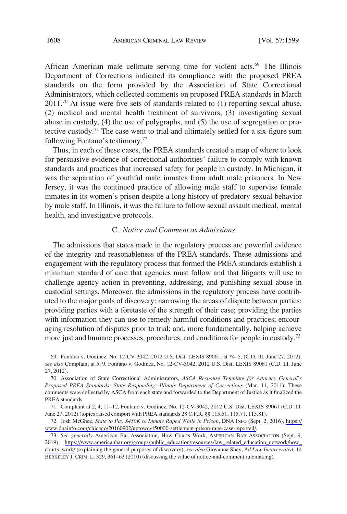African American male cellmate serving time for violent acts.<sup>69</sup> The Illinois Department of Corrections indicated its compliance with the proposed PREA standards on the form provided by the Association of State Correctional Administrators, which collected comments on proposed PREA standards in March  $2011<sup>70</sup>$  At issue were five sets of standards related to (1) reporting sexual abuse, (2) medical and mental health treatment of survivors, (3) investigating sexual abuse in custody, (4) the use of polygraphs, and (5) the use of segregation or protective custody.<sup>71</sup> The case went to trial and ultimately settled for a six-figure sum following Fontano's testimony.72

Thus, in each of these cases, the PREA standards created a map of where to look for persuasive evidence of correctional authorities' failure to comply with known standards and practices that increased safety for people in custody. In Michigan, it was the separation of youthful male inmates from adult male prisoners. In New Jersey, it was the continued practice of allowing male staff to supervise female inmates in its women's prison despite a long history of predatory sexual behavior by male staff. In Illinois, it was the failure to follow sexual assault medical, mental health, and investigative protocols.

## C. *Notice and Comment as Admissions*

The admissions that states made in the regulatory process are powerful evidence of the integrity and reasonableness of the PREA standards. These admissions and engagement with the regulatory process that formed the PREA standards establish a minimum standard of care that agencies must follow and that litigants will use to challenge agency action in preventing, addressing, and punishing sexual abuse in custodial settings. Moreover, the admissions in the regulatory process have contributed to the major goals of discovery: narrowing the areas of dispute between parties; providing parties with a foretaste of the strength of their case; providing the parties with information they can use to remedy harmful conditions and practices; encouraging resolution of disputes prior to trial; and, more fundamentally, helping achieve more just and humane processes, procedures, and conditions for people in custody.73

Josh McGhee, *State to Pay \$450K to Inmate Raped While in Prison*, DNA INFO (Sept. 2, 2016), [https://](https://www.dnainfo.com/chicago/20160902/uptown/450000-settlement-prison-rape-case-reported/) 72. [www.dnainfo.com/chicago/20160902/uptown/450000-settlement-prison-rape-case-reported/.](https://www.dnainfo.com/chicago/20160902/uptown/450000-settlement-prison-rape-case-reported/)

<sup>69.</sup> Fontano v. Godinez, No. 12-CV-3042, 2012 U.S. Dist. LEXIS 89061, at \*4–5, (C.D. Ill. June 27, 2012); *see also* Complaint at 5, 9, Fontano v. Godinez, No. 12-CV-3042, 2012 U.S. Dist. LEXIS 89061 (C.D. Ill. June 27, 2012).

<sup>70.</sup> Association of State Correctional Administrators, *ASCA Response Template for Attorney General's Proposed PREA Standards: State Responding: Illinois Department of Corrections* (Mar. 11, 2011). These comments were collected by ASCA from each state and forwarded to the Department of Justice as it finalized the PREA standards.

<sup>71.</sup> Complaint at 2, 4, 11–12, Fontano v. Godinez, No. 12-CV-3042, 2012 U.S. Dist. LEXIS 89061 (C.D. Ill. June 27, 2012) (topics raised comport with PREA standards 28 C.F.R. §§ 115.51, 115.71, 115.81).

*See generally* American Bar Association, How Courts Work, AMERICAN BAR ASSOCIATION (Sept. 9, 73. 2019), [https://www.americanbar.org/groups/public\\_education/resources/law\\_related\\_education\\_network/how\\_](https://www.americanbar.org/groups/public_education/resources/law_related_education_network/how_courts_work/) [courts\\_work/](https://www.americanbar.org/groups/public_education/resources/law_related_education_network/how_courts_work/) (explaining the general purposes of discovery); *see also* Giovanna Shay, *Ad Law Incarcerated*, 14 BERKELEY J. CRIM. L. 329, 361–63 (2010) (discussing the value of notice-and-comment rulemaking).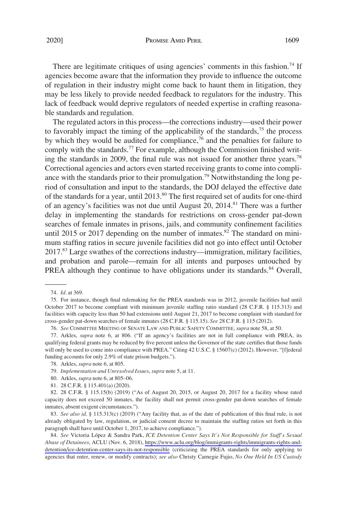There are legitimate critiques of using agencies' comments in this fashion.<sup>74</sup> If agencies become aware that the information they provide to influence the outcome of regulation in their industry might come back to haunt them in litigation, they may be less likely to provide needed feedback to regulators for the industry. This lack of feedback would deprive regulators of needed expertise in crafting reasonable standards and regulation.

The regulated actors in this process—the corrections industry—used their power to favorably impact the timing of the applicability of the standards,<sup>75</sup> the process by which they would be audited for compliance,<sup>76</sup> and the penalties for failure to comply with the standards.<sup>77</sup> For example, although the Commission finished writing the standards in 2009, the final rule was not issued for another three years.<sup>78</sup> Correctional agencies and actors even started receiving grants to come into compliance with the standards prior to their promulgation.<sup>79</sup> Notwithstanding the long period of consultation and input to the standards, the DOJ delayed the effective date of the standards for a year, until  $2013$ <sup>80</sup>. The first required set of audits for one-third of an agency's facilities was not due until August 20, 2014.<sup>81</sup> There was a further delay in implementing the standards for restrictions on cross-gender pat-down searches of female inmates in prisons, jails, and community confinement facilities until 2015 or 2017 depending on the number of inmates.<sup>82</sup> The standard on minimum staffing ratios in secure juvenile facilities did not go into effect until October 2017.83 Large swathes of the corrections industry—immigration, military facilities, and probation and parole—remain for all intents and purposes untouched by PREA although they continue to have obligations under its standards.<sup>84</sup> Overall,

76. *See* COMMITTEE MEETING OF SENATE LAW AND PUBLIC SAFETY COMMITTEE, *supra* note 58, at 50.

77. Arkles, *supra* note 6, at 806. ("If an agency's facilities are not in full compliance with PREA, its qualifying federal grants may be reduced by five percent unless the Governor of the state certifies that those funds will only be used to come into compliance with PREA." Citing 42 U.S.C. § 15607(c) (2012). However, "[f]ederal funding accounts for only 2.9% of state prison budgets.").

- 80. Arkles, *supra* note 6, at 805–06.
- 81. 28 C.F.R. § 115.401(a) (2020).

82. 28 C.F.R. § 115.15(b) (2019) ("As of August 20, 2015, or August 20, 2017 for a facility whose rated capacity does not exceed 50 inmates, the facility shall not permit cross-gender pat-down searches of female inmates, absent exigent circumstances.").

83. *See also id*. § 115.313(c) (2019) ("Any facility that, as of the date of publication of this final rule, is not already obligated by law, regulation, or judicial consent decree to maintain the staffing ratios set forth in this paragraph shall have until October 1, 2017, to achieve compliance.").

84. See Victoria López & Sandra Park, *ICE Detention Center Says It's Not Responsible for Staff's Sexual Abuse of Detainees*, ACLU (Nov. 6, 2018), [https://www.aclu.org/blog/immigrants-rights/immigrants-rights-and](https://www.aclu.org/blog/immigrants-rights/immigrants-rights-and-detention/ice-detention-center-says-its-not-responsible)[detention/ice-detention-center-says-its-not-responsible](https://www.aclu.org/blog/immigrants-rights/immigrants-rights-and-detention/ice-detention-center-says-its-not-responsible) (criticizing the PREA standards for only applying to agencies that enter, renew, or modify contracts); *see also* Christy Carnegie Fujio, *No One Held In US Custody* 

<sup>74.</sup> *Id*. at 369.

<sup>75.</sup> For instance, though final rulemaking for the PREA standards was in 2012, juvenile facilities had until October 2017 to become compliant with minimum juvenile staffing ratio standard (28 C.F.R. § 115.313) and facilities with capacity less than 50 had extensions until August 21, 2017 to become complaint with standard for cross-gender pat-down searches of female inmates (28 C.F.R. § 115.15). *See* 28 C.F.R. § 115 (2012).

<sup>78.</sup> Arkles, *supra* note 6, at 805.

<sup>79.</sup> *Implementation and Unresolved Issues*, *supra* note 5, at 11.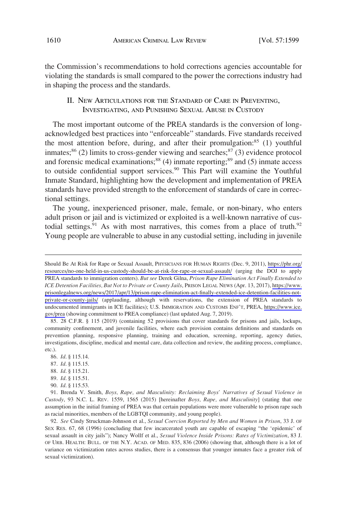the Commission's recommendations to hold corrections agencies accountable for violating the standards is small compared to the power the corrections industry had in shaping the process and the standards.

II. NEW ARTICULATIONS FOR THE STANDARD OF CARE IN PREVENTING, INVESTIGATING, AND PUNISHING SEXUAL ABUSE IN CUSTODY

The most important outcome of the PREA standards is the conversion of longacknowledged best practices into "enforceable" standards. Five standards received the most attention before, during, and after their promulgation: $85$  (1) youthful inmates;<sup>86</sup> (2) limits to cross-gender viewing and searches;<sup>87</sup> (3) evidence protocol and forensic medical examinations; $88$  (4) inmate reporting; $89$  and (5) inmate access to outside confidential support services.<sup>90</sup> This Part will examine the Youthful Inmate Standard, highlighting how the development and implementation of PREA standards have provided strength to the enforcement of standards of care in correctional settings.

The young, inexperienced prisoner, male, female, or non-binary, who enters adult prison or jail and is victimized or exploited is a well-known narrative of custodial settings.<sup>91</sup> As with most narratives, this comes from a place of truth.<sup>92</sup> Young people are vulnerable to abuse in any custodial setting, including in juvenile

85. 28 C.F.R. § 115 (2019) (containing 52 provisions that cover standards for prisons and jails, lockups, community confinement, and juvenile facilities, where each provision contains definitions and standards on prevention planning, responsive planning, training and education, screening, reporting, agency duties, investigations, discipline, medical and mental care, data collection and review, the auditing process, compliance, etc.).

- 87. *Id*. § 115.15.
- 88. *Id*. § 115.21.
- 89. *Id*. § 115.51.
- 90. *Id*. § 115.53.

92. *See* Cindy Struckman-Johnson et al., *Sexual Coercion Reported by Men and Women in Prison*, 33 J. OF SEX RES. 67, 68 (1996) (concluding that few incarcerated youth are capable of escaping "the 'epidemic' of sexual assault in city jails"); Nancy Wollf et al., *Sexual Violence Inside Prisons: Rates of Victimization*, 83 J. OF URB. HEALTH: BULL. OF THE N.Y. ACAD. OF MED. 835, 836 (2006) (showing that, although there is a lot of variance on victimization rates across studies, there is a consensus that younger inmates face a greater risk of sexual victimization).

Should Be At Risk for Rape or Sexual Assault, PHYSICIANS FOR HUMAN RIGHTS (Dec. 9, 2011), [https://phr.org/](https://phr.org/resources/no-one-held-in-us-custody-should-be-at-risk-for-rape-or-sexual-assault/) [resources/no-one-held-in-us-custody-should-be-at-risk-for-rape-or-sexual-assault/](https://phr.org/resources/no-one-held-in-us-custody-should-be-at-risk-for-rape-or-sexual-assault/) (urging the DOJ to apply PREA standards to immigration centers). *But see* Derek Gilna, *Prison Rape Elimination Act Finally Extended to ICE Detention Facilities, But Not to Private or County Jails*, PRISON LEGAL NEWS (Apr. 13, 2017), [https://www.](https://www.prisonlegalnews.org/news/2017/apr/13/prison-rape-elimination-act-finally-extended-ice-detention-facilities-not-private-or-county-jails/) [prisonlegalnews.org/news/2017/apr/13/prison-rape-elimination-act-finally-extended-ice-detention-facilities-not](https://www.prisonlegalnews.org/news/2017/apr/13/prison-rape-elimination-act-finally-extended-ice-detention-facilities-not-private-or-county-jails/)[private-or-county-jails/](https://www.prisonlegalnews.org/news/2017/apr/13/prison-rape-elimination-act-finally-extended-ice-detention-facilities-not-private-or-county-jails/) (applauding, although with reservations, the extension of PREA standards to undocumented immigrants in ICE facilities); U.S. IMMIGRATION AND CUSTOMS ENF'T, PREA, [https://www.ice.](https://www.ice.gov/prea) [gov/prea](https://www.ice.gov/prea) (showing commitment to PREA compliance) (last updated Aug. 7, 2019).

<sup>86.</sup> *Id*. § 115.14.

<sup>91.</sup> Brenda V. Smith, *Boys, Rape, and Masculinity: Reclaiming Boys' Narratives of Sexual Violence in Custody*, 93 N.C. L. REV. 1559, 1565 (2015) [hereinafter *Boys, Rape, and Masculinity*] (stating that one assumption in the initial framing of PREA was that certain populations were more vulnerable to prison rape such as racial minorities, members of the LGBTQI community, and young people).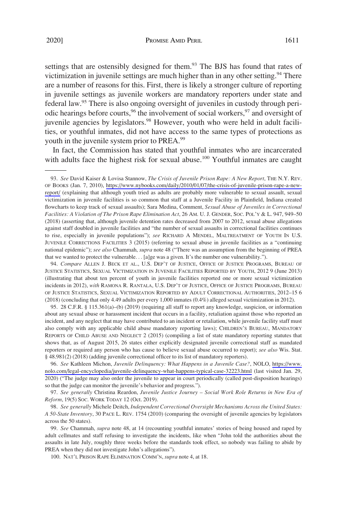settings that are ostensibly designed for them.<sup>93</sup> The BJS has found that rates of victimization in juvenile settings are much higher than in any other setting.<sup>94</sup> There are a number of reasons for this. First, there is likely a stronger culture of reporting in juvenile settings as juvenile workers are mandatory reporters under state and federal law.95 There is also ongoing oversight of juveniles in custody through periodic hearings before courts,<sup>96</sup> the involvement of social workers,<sup>97</sup> and oversight of juvenile agencies by legislators.<sup>98</sup> However, youth who were held in adult facilities, or youthful inmates, did not have access to the same types of protections as youth in the juvenile system prior to PREA.99

In fact, the Commission has stated that youthful inmates who are incarcerated with adults face the highest risk for sexual abuse.<sup>100</sup> Youthful inmates are caught

*See* David Kaiser & Lovisa Stannow, *The Crisis of Juvenile Prison Rape: A New Report*, THE N.Y. REV. 93. OF BOOKS (Jan. 7, 2010), [https://www.nybooks.com/daily/2010/01/07/the-crisis-of-juvenile-prison-rape-a-new](https://www.nybooks.com/daily/2010/01/07/the-crisis-of-juvenile-prison-rape-a-new-report/)[report/](https://www.nybooks.com/daily/2010/01/07/the-crisis-of-juvenile-prison-rape-a-new-report/) (explaining that although youth tried as adults are probably more vulnerable to sexual assault, sexual victimization in juvenile facilities is so common that staff at a Juvenile Facility in Plainfield, Indiana created flowcharts to keep track of sexual assaults); Sara Medina, Comment, *Sexual Abuse of Juveniles in Correctional Facilities: A Violation of The Prison Rape Elimination Act*, 26 AM. U. J. GENDER, SOC. POL'Y & L. 947, 949–50 (2018) (asserting that, although juvenile detention rates decreased from 2007 to 2012, sexual abuse allegations against staff doubled in juvenile facilities and "the number of sexual assaults in correctional facilities continues to rise, especially in juvenile populations"); *see* RICHARD A MENDEL, MALTREATMENT OF YOUTH IN U.S. JUVENILE CORRECTIONS FACILITIES 3 (2015) (referring to sexual abuse in juvenile facilities as a "continuing national epidemic"); *see also* Chammah, *supra* note 48 ("There was an assumption from the beginning of PREA that we wanted to protect the vulnerable. . . [a]ge was a given. It's the number one vulnerability.").

94. *Compare* ALLEN J. BECK ET AL., U.S. DEP'T OF JUSTICE, OFFICE OF JUSTICE PROGRAMS, BUREAU OF JUSTICE STATISTICS, SEXUAL VICTIMIZATION IN JUVENILE FACILITIES REPORTED BY YOUTH, 2012 9 (June 2013) (illustrating that about ten percent of youth in juvenile facilities reported one or more sexual victimization incidents in 2012), *with* RAMONA R. RANTALA, U.S. DEP'T OF JUSTICE, OFFICE OF JUSTICE PROGRAMS, BUREAU OF JUSTICE STATISTICS, SEXUAL VICTIMIZATION REPORTED BY ADULT CORRECTIONAL AUTHORITIES, 2012–15 6 (2018) (concluding that only 4.49 adults per every 1,000 inmates (0.4%) alleged sexual victimization in 2012).

95. 28 C.F.R. § 115.361(a)–(b) (2019) (requiring all staff to report any knowledge, suspicion, or information about any sexual abuse or harassment incident that occurs in a facility, retaliation against those who reported an incident, and any neglect that may have contributed to an incident or retaliation, while juvenile facility staff must also comply with any applicable child abuse mandatory reporting laws); CHILDREN'S BUREAU, MANDATORY REPORTS OF CHILD ABUSE AND NEGLECT 2 (2015) (compiling a list of state mandatory reporting statutes that shows that, as of August 2015, 26 states either explicitly designated juvenile correctional staff as mandated reporters or required any person who has cause to believe sexual abuse occurred to report); *see also* Wis. Stat. § 48.981(2) (2018) (adding juvenile correctional officer to its list of mandatory reporters).

*See* Kathleen Michon, *Juvenile Delinquency: What Happens in a Juvenile Case?*, NOLO, [https://www.](https://www.nolo.com/legal-encyclopedia/juvenile-delinquency-what-happens-typical-case-32223.html)  96. [nolo.com/legal-encyclopedia/juvenile-delinquency-what-happens-typical-case-32223.html](https://www.nolo.com/legal-encyclopedia/juvenile-delinquency-what-happens-typical-case-32223.html) (last visited Jan. 29, 2020) ("The judge may also order the juvenile to appear in court periodically (called post-disposition hearings) so that the judge can monitor the juvenile's behavior and progress.").

97. *See generally* Christina Reardon, *Juvenile Justice Journey – Social Work Role Returns in New Era of Reform*, 19(5) SOC. WORK TODAY 12 (Oct. 2019).

98. *See generally* Michele Deitch, *Independent Correctional Oversight Mechanisms Across the United States: A 50-State Inventory*, 30 PACE L. REV. 1754 (2010) (comparing the oversight of juvenile agencies by legislators across the 50 states).

99. *See* Chammah, *supra* note 48, at 14 (recounting youthful inmates' stories of being housed and raped by adult cellmates and staff refusing to investigate the incidents, like when "John told the authorities about the assaults in late July, roughly three weeks before the standards took effect, so nobody was failing to abide by PREA when they did not investigate John's allegations").

100. NAT'L PRISON RAPE ELIMINATION COMM'N, *supra* note 4, at 18.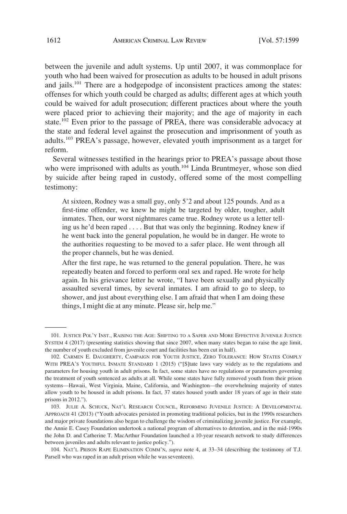between the juvenile and adult systems. Up until 2007, it was commonplace for youth who had been waived for prosecution as adults to be housed in adult prisons and jails.<sup>101</sup> There are a hodgepodge of inconsistent practices among the states: offenses for which youth could be charged as adults; different ages at which youth could be waived for adult prosecution; different practices about where the youth were placed prior to achieving their majority; and the age of majority in each state.<sup>102</sup> Even prior to the passage of PREA, there was considerable advocacy at the state and federal level against the prosecution and imprisonment of youth as adults.103 PREA's passage, however, elevated youth imprisonment as a target for reform.

Several witnesses testified in the hearings prior to PREA's passage about those who were imprisoned with adults as youth.<sup>104</sup> Linda Bruntmeyer, whose son died by suicide after being raped in custody, offered some of the most compelling testimony:

At sixteen, Rodney was a small guy, only 5'2 and about 125 pounds. And as a first-time offender, we knew he might be targeted by older, tougher, adult inmates. Then, our worst nightmares came true. Rodney wrote us a letter telling us he'd been raped . . . . But that was only the beginning. Rodney knew if he went back into the general population, he would be in danger. He wrote to the authorities requesting to be moved to a safer place. He went through all the proper channels, but he was denied.

After the first rape, he was returned to the general population. There, he was repeatedly beaten and forced to perform oral sex and raped. He wrote for help again. In his grievance letter he wrote, "I have been sexually and physically assaulted several times, by several inmates. I am afraid to go to sleep, to shower, and just about everything else. I am afraid that when I am doing these things, I might die at any minute. Please sir, help me."

<sup>101.</sup> JUSTICE POL'Y INST., RAISING THE AGE: SHIFTING TO A SAFER AND MORE EFFECTIVE JUVENILE JUSTICE SYSTEM 4 (2017) (presenting statistics showing that since 2007, when many states began to raise the age limit, the number of youth excluded from juvenile court and facilities has been cut in half).

<sup>102.</sup> CARMEN E. DAUGHERTY, CAMPAIGN FOR YOUTH JUSTICE, ZERO TOLERANCE: HOW STATES COMPLY WITH PREA'S YOUTHFUL INMATE STANDARD 1 (2015) ("[S]tate laws vary widely as to the regulations and parameters for housing youth in adult prisons. In fact, some states have no regulations or parameters governing the treatment of youth sentenced as adults at all. While some states have fully removed youth from their prison systems—Hawaii, West Virginia, Maine, California, and Washington—the overwhelming majority of states allow youth to be housed in adult prisons. In fact, 37 states housed youth under 18 years of age in their state prisons in 2012.").

<sup>103.</sup> JULIE A. SCHUCK, NAT'L RESEARCH COUNCIL, REFORMING JUVENILE JUSTICE: A DEVELOPMENTAL APPROACH 41 (2013) ("Youth advocates persisted in promoting traditional policies, but in the 1990s researchers and major private foundations also began to challenge the wisdom of criminalizing juvenile justice. For example, the Annie E. Casey Foundation undertook a national program of alternatives to detention, and in the mid-1990s the John D. and Catherine T. MacArthur Foundation launched a 10-year research network to study differences between juveniles and adults relevant to justice policy.").

<sup>104.</sup> NAT'L PRISON RAPE ELIMINATION COMM'N, *supra* note 4, at 33–34 (describing the testimony of T.J. Parsell who was raped in an adult prison while he was seventeen).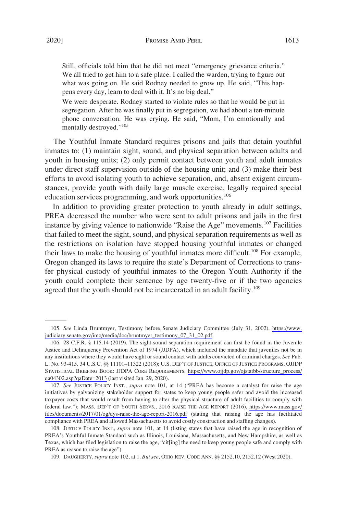Still, officials told him that he did not meet "emergency grievance criteria." We all tried to get him to a safe place. I called the warden, trying to figure out what was going on. He said Rodney needed to grow up. He said, "This happens every day, learn to deal with it. It's no big deal."

We were desperate. Rodney started to violate rules so that he would be put in segregation. After he was finally put in segregation, we had about a ten-minute phone conversation. He was crying. He said, "Mom, I'm emotionally and mentally destroyed."<sup>105</sup>

The Youthful Inmate Standard requires prisons and jails that detain youthful inmates to: (1) maintain sight, sound, and physical separation between adults and youth in housing units; (2) only permit contact between youth and adult inmates under direct staff supervision outside of the housing unit; and (3) make their best efforts to avoid isolating youth to achieve separation, and, absent exigent circumstances, provide youth with daily large muscle exercise, legally required special education services programming, and work opportunities.<sup>106</sup>

In addition to providing greater protection to youth already in adult settings, PREA decreased the number who were sent to adult prisons and jails in the first instance by giving valence to nationwide "Raise the Age" movements.<sup>107</sup> Facilities that failed to meet the sight, sound, and physical separation requirements as well as the restrictions on isolation have stopped housing youthful inmates or changed their laws to make the housing of youthful inmates more difficult.<sup>108</sup> For example, Oregon changed its laws to require the state's Department of Corrections to transfer physical custody of youthful inmates to the Oregon Youth Authority if the youth could complete their sentence by age twenty-five or if the two agencies agreed that the youth should not be incarcerated in an adult facility.<sup>109</sup>

*See* Linda Bruntmyer, Testimony before Senate Judiciary Committee (July 31, 2002), [https://www.](https://www.judiciary.senate.gov/imo/media/doc/bruntmyer_testimony_07_31_02.pdf)  105. [judiciary.senate.gov/imo/media/doc/bruntmyer\\_testimony\\_07\\_31\\_02.pdf](https://www.judiciary.senate.gov/imo/media/doc/bruntmyer_testimony_07_31_02.pdf).

<sup>28</sup> C.F.R. § 115.14 (2019). The sight-sound separation requirement can first be found in the Juvenile 106. Justice and Delinquency Prevention Act of 1974 (JJDPA), which included the mandate that juveniles not be in any institutions where they would have sight or sound contact with adults convicted of criminal charges. *See* Pub. L. No. 93-415, 34 U.S.C. §§ 11101–11322 (2018); U.S. DEP'T OF JUSTICE, OFFICE OF JUSTICE PROGRAMS, OJJDP STATISTICAL BRIEFING BOOK: JJDPA CORE REQUIREMENTS, [https://www.ojjdp.gov/ojstatbb/structure\\_process/](https://www.ojjdp.gov/ojstatbb/structure_process/qa04302.asp?qaDate=2013)  [qa04302.asp?qaDate=2013](https://www.ojjdp.gov/ojstatbb/structure_process/qa04302.asp?qaDate=2013) (last visited Jan. 29, 2020).

<sup>107.</sup> See JUSTICE POLICY INST., *supra* note 101, at 14 ("PREA has become a catalyst for raise the age initiatives by galvanizing stakeholder support for states to keep young people safer and avoid the increased taxpayer costs that would result from having to alter the physical structure of adult facilities to comply with federal law."); MASS. DEP'T OF YOUTH SERVS., 2016 RAISE THE AGE REPORT (2016), [https://www.mass.gov/](https://www.mass.gov/files/documents/2017/01/og/dys-raise-the-age-report-2016.pdf) [files/documents/2017/01/og/dys-raise-the-age-report-2016.pdf](https://www.mass.gov/files/documents/2017/01/og/dys-raise-the-age-report-2016.pdf) (stating that raising the age has facilitated compliance with PREA and allowed Massachusetts to avoid costly construction and staffing changes).

<sup>108.</sup> JUSTICE POLICY INST., *supra* note 101, at 14 (listing states that have raised the age in recognition of PREA's Youthful Inmate Standard such as Illinois, Louisiana, Massachusetts, and New Hampshire, as well as Texas, which has filed legislation to raise the age, "cit[ing] the need to keep young people safe and comply with PREA as reason to raise the age").

<sup>109.</sup> DAUGHERTY, *supra* note 102, at 1. *But see*, OHIO REV. CODE ANN. §§ 2152.10, 2152.12 (West 2020).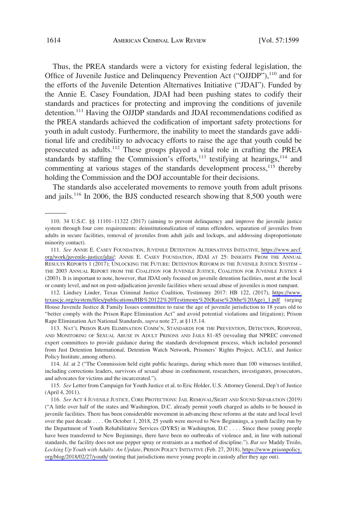Thus, the PREA standards were a victory for existing federal legislation, the Office of Juvenile Justice and Delinquency Prevention Act ("OJJDP"),<sup>110</sup> and for the efforts of the Juvenile Detention Alternatives Initiative ("JDAI"). Funded by the Annie E. Casey Foundation, JDAI had been pushing states to codify their standards and practices for protecting and improving the conditions of juvenile detention.<sup>111</sup> Having the OJJDP standards and JDAI recommendations codified as the PREA standards achieved the codification of important safety protections for youth in adult custody. Furthermore, the inability to meet the standards gave additional life and credibility to advocacy efforts to raise the age that youth could be prosecuted as adults.<sup>112</sup> These groups played a vital role in crafting the PREA standards by staffing the Commission's efforts, $113$  testifying at hearings, $114$  and commenting at various stages of the standards development process,  $115$  thereby holding the Commission and the DOJ accountable for their decisions.

The standards also accelerated movements to remove youth from adult prisons and jails.<sup>116</sup> In 2006, the BJS conducted research showing that  $8,500$  youth were

Lindsey Linder, Texas Criminal Justice Coalition, Testimony 2017: HB 122, (2017), [https://www.](https://www.texascjc.org/system/files/publications/HB%20122%20Testimony%20(Raise%20the%20Age)_1.pdf)  112. [texascjc.org/system/files/publications/HB%20122%20Testimony%20\(Raise%20the%20Age\)\\_1.pdf](https://www.texascjc.org/system/files/publications/HB%20122%20Testimony%20(Raise%20the%20Age)_1.pdf) (urging House Juvenile Justice & Family Issues committee to raise the age of juvenile jurisdiction to 18 years old to "better comply with the Prison Rape Elimination Act" and avoid potential violations and litigation); Prison Rape Elimination Act National Standards, *supra* note 27, at §115.14.

113. NAT'L PRISON RAPE ELIMINATION COMM'N, STANDARDS FOR THE PREVENTION, DETECTION, RESPONSE, AND MONITORING OF SEXUAL ABUSE IN ADULT PRISONS AND JAILS 81–85 (revealing that NPREC convened expert committees to provide guidance during the standards development process, which included personnel from Just Detention International, Detention Watch Network, Prisoners' Rights Project, ACLU, and Justice Policy Institute, among others).

114. *Id*. at 2 ("The Commission held eight public hearings, during which more than 100 witnesses testified, including corrections leaders, survivors of sexual abuse in confinement, researchers, investigators, prosecutors, and advocates for victims and the incarcerated.").

115. *See* Letter from Campaign for Youth Justice et al. to Eric Holder, U.S. Attorney General, Dep't of Justice (April 4, 2011).

<sup>110. 34</sup> U.S.C. §§ 11101–11322 (2017) (aiming to prevent delinquency and improve the juvenile justice system through four core requirements: deinstitutionalization of status offenders, separation of juveniles from adults in secure facilities, removal of juveniles from adult jails and lockups, and addressing disproportionate minority contact).

<sup>111.</sup> See ANNIE E. CASEY FOUNDATION, JUVENILE DETENTION ALTERNATIVES INITIATIVE, [https://www.aecf.](https://www.aecf.org/work/juvenile-justice/jdai/) [org/work/juvenile-justice/jdai/](https://www.aecf.org/work/juvenile-justice/jdai/); ANNIE E. CASEY FOUNDATION, JDAI AT 25: INSIGHTS FROM THE ANNUAL RESULTS REPORTS 1 (2017); UNLOCKING THE FUTURE: DETENTION REFORM IN THE JUVENILE JUSTICE SYSTEM – THE 2003 ANNUAL REPORT FROM THE COALITION FOR JUVENILE JUSTICE, COALITION FOR JUVENILE JUSTICE 4 (2003). It is important to note, however, that JDAI only focused on juvenile detention facilities, most at the local or county level, and not on post-adjudication juvenile facilities where sexual abuse of juveniles is most rampant.

*See* ACT 4 JUVENILE JUSTICE, CORE PROTECTIONS: JAIL REMOVAL/SIGHT AND SOUND SEPARATION (2019) 116. ("A little over half of the states and Washington, D.C. already permit youth charged as adults to be housed in juvenile facilities. There has been considerable movement in advancing these reforms at the state and local level over the past decade . . . . On October 1, 2018, 25 youth were moved to New Beginnings, a youth facility run by the Department of Youth Rehabilitative Services (DYRS) in Washington, D.C . . . . Since these young people have been transferred to New Beginnings, there have been no outbreaks of violence and, in line with national standards, the facility does not use pepper spray or restraints as a method of discipline."). *But see* Maddy Troilo, *Locking Up Youth with Adults: An Update*, PRISON POLICY INITIATIVE (Feb. 27, 2018), [https://www.prisonpolicy.](https://www.prisonpolicy.org/blog/2018/02/27/youth/) [org/blog/2018/02/27/youth/](https://www.prisonpolicy.org/blog/2018/02/27/youth/) (noting that jurisdictions move young people in custody after they age out).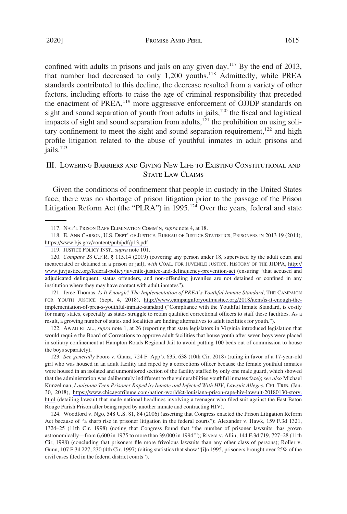confined with adults in prisons and jails on any given day.<sup>117</sup> By the end of 2013, that number had decreased to only 1,200 youths.<sup>118</sup> Admittedly, while PREA standards contributed to this decline, the decrease resulted from a variety of other factors, including efforts to raise the age of criminal responsibility that preceded the enactment of PREA,<sup>119</sup> more aggressive enforcement of OJJDP standards on sight and sound separation of youth from adults in jails, $120$  the fiscal and logistical impacts of sight and sound separation from adults,<sup>121</sup> the prohibition on using solitary confinement to meet the sight and sound separation requirement, $122$  and high profile litigation related to the abuse of youthful inmates in adult prisons and jails.<sup>123</sup>

# III. LOWERING BARRIERS AND GIVING NEW LIFE TO EXISTING CONSTITUTIONAL AND STATE LAW CLAIMS

Given the conditions of confinement that people in custody in the United States face, there was no shortage of prison litigation prior to the passage of the Prison Litigation Reform Act (the "PLRA") in 1995.<sup>124</sup> Over the years, federal and state

121. Jeree Thomas, Is It Enough? The Implementation of PREA's Youthful Inmate Standard, THE CAMPAIGN FOR YOUTH JUSTICE (Sept. 4, 2018), [http://www.campaignforyouthjustice.org/2018/item/is-it-enough-the](http://www.campaignforyouthjustice.org/2018/item/is-it-enough-the-implementation-of-prea-s-youthful-inmate-standard)[implementation-of-prea-s-youthful-inmate-standard](http://www.campaignforyouthjustice.org/2018/item/is-it-enough-the-implementation-of-prea-s-youthful-inmate-standard) ("Compliance with the Youthful Inmate Standard, is costly for many states, especially as states struggle to retain qualified correctional officers to staff these facilities. As a result, a growing number of states and localities are finding alternatives to adult facilities for youth.").

122. AWAD ET AL., *supra* note 1, at 26 (reporting that state legislators in Virginia introduced legislation that would require the Board of Corrections to approve adult facilities that house youth after seven boys were placed in solitary confinement at Hampton Roads Regional Jail to avoid putting 100 beds out of commission to house the boys separately).

123. See generally Poore v. Glanz, 724 F. App'x 635, 638 (10th Cir. 2018) (ruling in favor of a 17-year-old girl who was housed in an adult facility and raped by a corrections officer because the female youthful inmates were housed in an isolated and unmonitored section of the facility staffed by only one male guard, which showed that the administration was deliberately indifferent to the vulnerabilities youthful inmates face); *see also* Michael Kunzelman, *Louisiana Teen Prisoner Raped by Inmate and Infected With HIV, Lawsuit Alleges*, CHI. TRIB. (Jan. 30, 2018), [https://www.chicagotribune.com/nation-world/ct-louisiana-prison-rape-hiv-lawsuit-20180130-story.](https://www.chicagotribune.com/nation-world/ct-louisiana-prison-rape-hiv-lawsuit-20180130-story.html) [html](https://www.chicagotribune.com/nation-world/ct-louisiana-prison-rape-hiv-lawsuit-20180130-story.html) (detailing lawsuit that made national headlines involving a teenager who filed suit against the East Baton Rouge Parish Prison after being raped by another inmate and contracting HIV).

124. Woodford v. Ngo, 548 U.S. 81, 84 (2006) (asserting that Congress enacted the Prison Litigation Reform Act because of "a sharp rise in prisoner litigation in the federal courts"); Alexander v. Hawk, 159 F.3d 1321, 1324–25 (11th Cir. 1998) (noting that Congress found that "the number of prisoner lawsuits 'has grown astronomically—from 6,600 in 1975 to more than 39,000 in 1994'"); Rivera v. Allin, 144 F.3d 719, 727–28 (11th Cir, 1998) (concluding that prisoners file more frivolous lawsuits than any other class of persons); Roller v. Gunn, 107 F.3d 227, 230 (4th Cir. 1997) (citing statistics that show "[i]n 1995, prisoners brought over 25% of the civil cases filed in the federal district courts").

<sup>117.</sup> NAT'L PRISON RAPE ELIMINATION COMM'N, *supra* note 4, at 18.

<sup>118.</sup> E. ANN CARSON, U.S. DEPT' OF JUSTICE, BUREAU OF JUSTICE STATISTICS, PRISONERS IN 2013 19 (2014), <https://www.bjs.gov/content/pub/pdf/p13.pdf>.

<sup>119.</sup> JUSTICE POLICY INST., *supra* note 101.

<sup>120.</sup> Compare 28 C.F.R. § 115.14 (2019) (covering any person under 18, supervised by the adult court and incarcerated or detained in a prison or jail), *with* COAL. FOR JUVENILE JUSTICE, HISTORY OF THE JJDPA, [http://](http://www.juvjustice.org/federal-policy/juvenile-justice-and-delinquency-prevention-act) [www.juvjustice.org/federal-policy/juvenile-justice-and-delinquency-prevention-act](http://www.juvjustice.org/federal-policy/juvenile-justice-and-delinquency-prevention-act) (ensuring "that accused and adjudicated delinquent, status offenders, and non-offending juveniles are not detained or confined in any institution where they may have contact with adult inmates").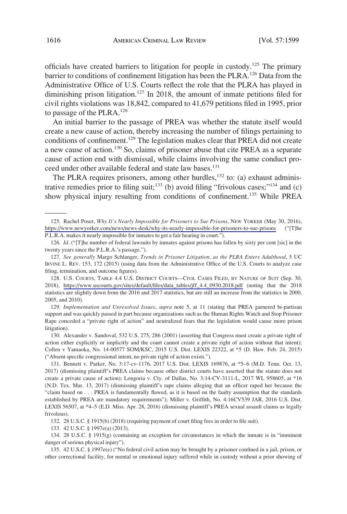officials have created barriers to litigation for people in custody.<sup>125</sup> The primary barrier to conditions of confinement litigation has been the PLRA.<sup>126</sup> Data from the Administrative Office of U.S. Courts reflect the role that the PLRA has played in diminishing prison litigation.<sup>127</sup> In 2018, the amount of inmate petitions filed for civil rights violations was 18,842, compared to 41,679 petitions filed in 1995, prior to passage of the PLRA.<sup>128</sup>

An initial barrier to the passage of PREA was whether the statute itself would create a new cause of action, thereby increasing the number of filings pertaining to conditions of confinement.<sup>129</sup> The legislation makes clear that PREA did not create a new cause of action.130 So, claims of prisoner abuse that cite PREA as a separate cause of action end with dismissal, while claims involving the same conduct proceed under other available federal and state law bases.<sup>131</sup>

The PLRA requires prisoners, among other hurdles,<sup>132</sup> to: (a) exhaust administrative remedies prior to filing suit;<sup>133</sup> (b) avoid filing "frivolous cases;"<sup>134</sup> and (c) show physical injury resulting from conditions of confinement.<sup>135</sup> While PREA

129. *Implementation and Unresolved Issues*, *supra* note 5, at 11 (stating that PREA garnered bi-partisan support and was quickly passed in part because organizations such as the Human Rights Watch and Stop Prisoner Rape conceded a "private right of action" and neutralized fears that the legislation would cause more prison litigation).

130. Alexander v. Sandoval, 532 U.S. 275, 286 (2001) (asserting that Congress must create a private right of action either explicitly or implicitly and the court cannot create a private right of action without that intent); Collen v Yamaoka, No. 14-00577 SOM/KSC, 2015 U.S. Dist. LEXIS 22322, at \*5 (D. Haw. Feb. 24, 2015) ("Absent specific congressional intent, no private right of action exists.").

131. Bennett v. Parker, No. 3:17-cv-1176, 2017 U.S. Dist. LEXIS 169876, at \*5–6 (M.D. Tenn. Oct. 13, 2017) (dismissing plaintiff's PREA claims because other district courts have asserted that the statute does not create a private cause of action); Longoria v. Cty. of Dallas, No. 3:14-CV-3111-L, 2017 WL 958605, at \*16 (N.D. Tex. Mar. 13, 2017) (dismissing plaintiff's rape claims alleging that an officer raped her because the "claim based on . . . PREA is fundamentally flawed, as it is based on the faulty assumption that the standards established by PREA are mandatory requirements"); Miller v. Griffith, No. 4:16CV539 JAR, 2016 U.S. Dist. LEXIS 56507, at \*4–5 (E.D. Miss. Apr. 28, 2016) (dismissing plaintiff's PREA sexual assault claims as legally frivolous).

132. 28 U.S.C. § 1915(b) (2018) (requiring payment of court filing fees in order to file suit).

133. 42 U.S.C. § 1997e(a) (2013).

134. 28 U.S.C. § 1915(g) (containing an exception for circumstances in which the inmate is in "imminent danger of serious physical injury").

135. 42 U.S.C. § 1997e(e) ("No federal civil action may be brought by a prisoner confined in a jail, prison, or other correctional facility, for mental or emotional injury suffered while in custody without a prior showing of

<sup>125.</sup> Rachel Poser, *Why It's Nearly Impossible for Prisoners to Sue Prisons*, NEW YORKER (May 30, 2016), <https://www.newyorker.com/news/news-desk/why-its-nearly-impossible-for-prisoners-to-sue-prisons>("[T]he P.L.R.A. makes it nearly impossible for inmates to get a fair hearing in court.").

<sup>126.</sup> *Id*. ("[T]he number of federal lawsuits by inmates against prisons has fallen by sixty per cent [sic] in the twenty years since the P.L.R.A.'s passage.").

<sup>127.</sup> *See generally* Margo Schlanger, *Trends in Prisoner Litigation, as the PLRA Enters Adulthood*, 5 UC IRVINE L. REV. 153, 172 (2015) (using data from the Administrative Office of the U.S. Courts to analyze case filing, termination, and outcome figures).

<sup>128.</sup> U.S. COURTS, TABLE 4.4 U.S. DISTRICT COURTS—CIVIL CASES FILED, BY NATURE OF SUIT (Sep. 30, 2018), [https://www.uscourts.gov/sites/default/files/data\\_tables/jff\\_4.4\\_0930.2018.pdf](https://www.uscourts.gov/sites/default/files/data_tables/jff_4.4_0930.2018.pdf) (noting that the 2018 statistics are slightly down from the 2016 and 2017 statistics, but are still an increase from the statistics in 2000, 2005, and 2010).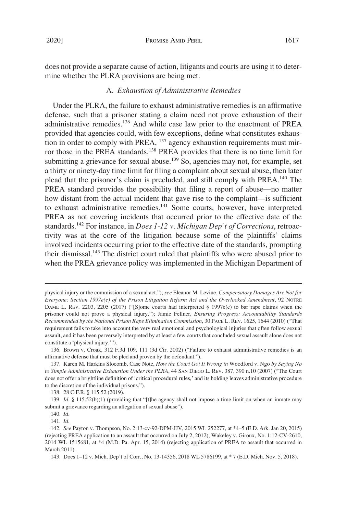does not provide a separate cause of action, litigants and courts are using it to determine whether the PLRA provisions are being met.

# A. *Exhaustion of Administrative Remedies*

Under the PLRA, the failure to exhaust administrative remedies is an affirmative defense, such that a prisoner stating a claim need not prove exhaustion of their administrative remedies.<sup>136</sup> And while case law prior to the enactment of PREA provided that agencies could, with few exceptions, define what constitutes exhaustion in order to comply with PREA,  $^{137}$  agency exhaustion requirements must mirror those in the PREA standards.<sup>138</sup> PREA provides that there is no time limit for submitting a grievance for sexual abuse.<sup>139</sup> So, agencies may not, for example, set a thirty or ninety-day time limit for filing a complaint about sexual abuse, then later plead that the prisoner's claim is precluded, and still comply with PREA.140 The PREA standard provides the possibility that filing a report of abuse—no matter how distant from the actual incident that gave rise to the complaint—is sufficient to exhaust administrative remedies.<sup>141</sup> Some courts, however, have interpreted PREA as not covering incidents that occurred prior to the effective date of the standards.<sup>142</sup> For instance, in *Does 1-12 v. Michigan Dep't of Corrections*, retroactivity was at the core of the litigation because some of the plaintiffs' claims involved incidents occurring prior to the effective date of the standards, prompting their dismissal.<sup>143</sup> The district court ruled that plaintiffs who were abused prior to when the PREA grievance policy was implemented in the Michigan Department of

141. *Id*.

physical injury or the commission of a sexual act."); *see* Eleanor M. Levine, *Compensatory Damages Are Not for Everyone: Section 1997e(e) of the Prison Litigation Reform Act and the Overlooked Amendment*, 92 NOTRE DAME L. REV. 2203, 2205 (2017) ("[S]ome courts had interpreted § 1997e(e) to bar rape claims when the prisoner could not prove a physical injury."); Jamie Fellner, *Ensuring Progress: Accountability Standards Recommended by the National Prison Rape Elimination Commission*, 30 PACE L. REV. 1625, 1644 (2010) ("That requirement fails to take into account the very real emotional and psychological injuries that often follow sexual assault, and it has been perversely interpreted by at least a few courts that concluded sexual assault alone does not constitute a 'physical injury.'").

<sup>136.</sup> Brown v. Croak, 312 F.3d 109, 111 (3d Cir. 2002) ("Failure to exhaust administrative remedies is an affirmative defense that must be pled and proven by the defendant.").

<sup>137.</sup> Karen M. Harkins Slocomb, Case Note, *How the Court Got It Wrong in* Woodford v. Ngo *by Saying No to Simple Administrative Exhaustion Under the PLRA*, 44 SAN DIEGO L. REV. 387, 390 n.10 (2007) ("The Court does not offer a brightline definition of 'critical procedural rules,' and its holding leaves administrative procedure to the discretion of the individual prisons.").

<sup>138. 28</sup> C.F.R. § 115.52 (2019).

<sup>139.</sup> *Id*. § 115.52(b)(1) (providing that "[t]he agency shall not impose a time limit on when an inmate may submit a grievance regarding an allegation of sexual abuse").

<sup>140.</sup> *Id*.

<sup>142.</sup> *See* Payton v. Thompson, No. 2:13-cv-92-DPM-JJV, 2015 WL 252277, at \*4–5 (E.D. Ark. Jan 20, 2015) (rejecting PREA application to an assault that occurred on July 2, 2012); Wakeley v. Giroux, No. 1:12-CV-2610, 2014 WL 1515681, at \*4 (M.D. Pa. Apr. 15, 2014) (rejecting application of PREA to assault that occurred in March 2011).

<sup>143.</sup> Does 1–12 v. Mich. Dep't of Corr., No. 13-14356, 2018 WL 5786199, at \* 7 (E.D. Mich. Nov. 5, 2018).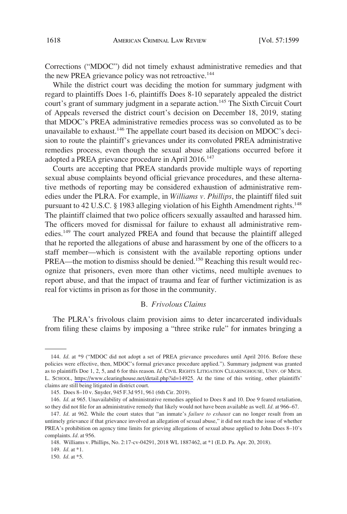Corrections ("MDOC") did not timely exhaust administrative remedies and that the new PREA grievance policy was not retroactive.<sup>144</sup>

While the district court was deciding the motion for summary judgment with regard to plaintiffs Does 1-6, plaintiffs Does 8-10 separately appealed the district court's grant of summary judgment in a separate action.<sup>145</sup> The Sixth Circuit Court of Appeals reversed the district court's decision on December 18, 2019, stating that MDOC's PREA administrative remedies process was so convoluted as to be unavailable to exhaust.<sup>146</sup> The appellate court based its decision on MDOC's decision to route the plaintiff's grievances under its convoluted PREA administrative remedies process, even though the sexual abuse allegations occurred before it adopted a PREA grievance procedure in April 2016.<sup>147</sup>

Courts are accepting that PREA standards provide multiple ways of reporting sexual abuse complaints beyond official grievance procedures, and these alternative methods of reporting may be considered exhaustion of administrative remedies under the PLRA. For example, in *Williams v. Phillips*, the plaintiff filed suit pursuant to 42 U.S.C. § 1983 alleging violation of his Eighth Amendment rights.<sup>148</sup> The plaintiff claimed that two police officers sexually assaulted and harassed him. The officers moved for dismissal for failure to exhaust all administrative remedies.<sup>149</sup> The court analyzed PREA and found that because the plaintiff alleged that he reported the allegations of abuse and harassment by one of the officers to a staff member—which is consistent with the available reporting options under PREA—the motion to dismiss should be denied.<sup>150</sup> Reaching this result would recognize that prisoners, even more than other victims, need multiple avenues to report abuse, and that the impact of trauma and fear of further victimization is as real for victims in prison as for those in the community.

### B. *Frivolous Claims*

The PLRA's frivolous claim provision aims to deter incarcerated individuals from filing these claims by imposing a "three strike rule" for inmates bringing a

<sup>144.</sup> *Id.* at \*9 ("MDOC did not adopt a set of PREA grievance procedures until April 2016. Before these policies were effective, then, MDOC's formal grievance procedure applied."). Summary judgment was granted as to plaintiffs Doe 1, 2, 5, and 6 for this reason. *Id*. CIVIL RIGHTS LITIGATION CLEARINGHOUSE, UNIV. OF MICH. L. SCHOOL, <https://www.clearinghouse.net/detail.php?id=14925>. At the time of this writing, other plaintiffs' claims are still being litigated in district court.

<sup>145.</sup> Does 8–10 v. Snyder, 945 F.3d 951, 961 (6th Cir. 2019).

<sup>146.</sup> *Id*. at 965. Unavailability of administrative remedies applied to Does 8 and 10. Doe 9 feared retaliation, so they did not file for an administrative remedy that likely would not have been available as well. *Id*. at 966–67.

<sup>147.</sup> *Id*. at 962. While the court states that "an inmate's *failure to exhaust* can no longer result from an untimely grievance if that grievance involved an allegation of sexual abuse," it did not reach the issue of whether PREA's prohibition on agency time limits for grieving allegations of sexual abuse applied to John Does 8–10's complaints. *Id*. at 956.

<sup>148.</sup> Williams v. Phillips, No. 2:17-cv-04291, 2018 WL 1887462, at \*1 (E.D. Pa. Apr. 20, 2018).

<sup>149.</sup> *Id*. at \*1.

<sup>150.</sup> *Id*. at \*5.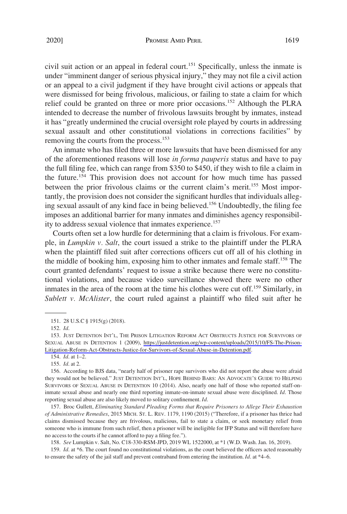civil suit action or an appeal in federal court.<sup>151</sup> Specifically, unless the inmate is under "imminent danger of serious physical injury," they may not file a civil action or an appeal to a civil judgment if they have brought civil actions or appeals that were dismissed for being frivolous, malicious, or failing to state a claim for which relief could be granted on three or more prior occasions.152 Although the PLRA intended to decrease the number of frivolous lawsuits brought by inmates, instead it has "greatly undermined the crucial oversight role played by courts in addressing sexual assault and other constitutional violations in corrections facilities" by removing the courts from the process.<sup>153</sup>

An inmate who has filed three or more lawsuits that have been dismissed for any of the aforementioned reasons will lose *in forma pauperis* status and have to pay the full filing fee, which can range from \$350 to \$450, if they wish to file a claim in the future.154 This provision does not account for how much time has passed between the prior frivolous claims or the current claim's merit.<sup>155</sup> Most importantly, the provision does not consider the significant hurdles that individuals alleging sexual assault of any kind face in being believed.<sup>156</sup> Undoubtedly, the filing fee imposes an additional barrier for many inmates and diminishes agency responsibility to address sexual violence that inmates experience.<sup>157</sup>

Courts often set a low hurdle for determining that a claim is frivolous. For example, in *Lumpkin v. Salt*, the court issued a strike to the plaintiff under the PLRA when the plaintiff filed suit after corrections officers cut off all of his clothing in the middle of booking him, exposing him to other inmates and female staff.158 The court granted defendants' request to issue a strike because there were no constitutional violations, and because video surveillance showed there were no other inmates in the area of the room at the time his clothes were cut off.<sup>159</sup> Similarly, in *Sublett v. McAlister*, the court ruled against a plaintiff who filed suit after he

155. *Id*. at 2.

157. Broc Gullett, *Eliminating Standard Pleading Forms that Require Prisoners to Allege Their Exhaustion of Administrative Remedies*, 2015 MICH. ST. L. REV. 1179, 1190 (2015) ("Therefore, if a prisoner has thrice had claims dismissed because they are frivolous, malicious, fail to state a claim, or seek monetary relief from someone who is immune from such relief, then a prisoner will be ineligible for IFP Status and will therefore have no access to the courts if he cannot afford to pay a filing fee.").

158. *See* Lumpkin v. Salt, No. C18-330-RSM-JPD, 2019 WL 1522000, at \*1 (W.D. Wash. Jan. 16, 2019).

159. *Id*. at \*6. The court found no constitutional violations, as the court believed the officers acted reasonably to ensure the safety of the jail staff and prevent contraband from entering the institution. *Id*. at \*4–6.

<sup>151. 28</sup> U.S.C § 1915(g) (2018).

<sup>152.</sup> *Id*.

<sup>153.</sup> JUST DETENTION INT'L, THE PRISON LITIGATION REFORM ACT OBSTRUCTS JUSTICE FOR SURVIVORS OF SEXUAL ABUSE IN DETENTION 1 (2009), [https://justdetention.org/wp-content/uploads/2015/10/FS-The-Prison-](https://justdetention.org/wp-content/uploads/2015/10/FS-The-Prison-Litigation-Reform-Act-Obstructs-Justice-for-Survivors-of-Sexual-Abuse-in-Detention.pdf)[Litigation-Reform-Act-Obstructs-Justice-for-Survivors-of-Sexual-Abuse-in-Detention.pdf.](https://justdetention.org/wp-content/uploads/2015/10/FS-The-Prison-Litigation-Reform-Act-Obstructs-Justice-for-Survivors-of-Sexual-Abuse-in-Detention.pdf)

<sup>154.</sup> *Id*. at 1–2.

<sup>156.</sup> According to BJS data, "nearly half of prisoner rape survivors who did not report the abuse were afraid they would not be believed." JUST DETENTION INT'L, HOPE BEHIND BARS: AN ADVOCATE'S GUIDE TO HELPING SURVIVORS OF SEXUAL ABUSE IN DETENTION 10 (2014). Also, nearly one half of those who reported staff-oninmate sexual abuse and nearly one third reporting inmate-on-inmate sexual abuse were disciplined. *Id*. Those reporting sexual abuse are also likely moved to solitary confinement. *Id*.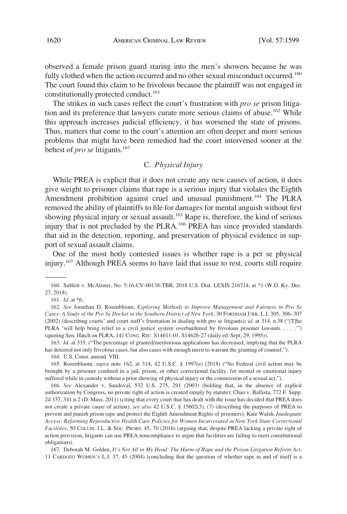observed a female prison guard staring into the men's showers because he was fully clothed when the action occurred and no other sexual misconduct occurred.<sup>160</sup> The court found this claim to be frivolous because the plaintiff was not engaged in constitutionally protected conduct.<sup>161</sup>

The strikes in such cases reflect the court's frustration with *pro se* prison litigation and its preference that lawyers curate more serious claims of abuse.<sup>162</sup> While this approach increases judicial efficiency, it has worsened the state of prisons. Thus, matters that come to the court's attention are often deeper and more serious problems that might have been remedied had the court intervened sooner at the behest of *pro se* litigants.<sup>163</sup>

## C. *Physical Injury*

While PREA is explicit that it does not create any new causes of action, it does give weight to prisoner claims that rape is a serious injury that violates the Eighth Amendment prohibition against cruel and unusual punishment.<sup>164</sup> The PLRA removed the ability of plaintiffs to file for damages for mental anguish without first showing physical injury or sexual assault.<sup>165</sup> Rape is, therefore, the kind of serious injury that is not precluded by the PLRA.<sup>166</sup> PREA has since provided standards that aid in the detection, reporting, and preservation of physical evidence in support of sexual assault claims.

One of the most hotly contested issues is whether rape is a per se physical injury.167 Although PREA seems to have laid that issue to rest, courts still require

163. *Id*. at 335. ("The percentage of granted/meritorious applications has decreased, implying that the PLRA has deterred not only frivolous cases, but also cases with enough merit to warrant the granting of counsel.").

164. U.S. Const. amend. VIII.

166. *See* Alexander v. Sandoval, 532 U.S. 275, 291 (2003) (holding that, in the absence of explicit authorization by Congress, no private right of action is created simply by statute); Chao v. Ballista, 772 F. Supp. 2d 337, 341 n.2 (D. Mass. 2011) (citing that every court that has dealt with the issue has decided that PREA does not create a private cause of action); *see also* 42 U.S.C. § 15602(3), (7) (describing the purposes of PREA to prevent and punish prison rape and protect the Eighth Amendment Rights of prisoners); Kate Walsh, *Inadequate Access: Reforming Reproductive Health Care Policies for Women Incarcerated in New York State Correctional Facilities*, 50 COLUM. J.L. & SOC. PROBS. 45, 70 (2016) (arguing that, despite PREA lacking a private right of action provision, litigants can use PREA noncompliance to argue that facilities are failing to meet constitutional obligations).

167. Deborah M. Golden, *It's Not All in My Head: The Harm of Rape and the Prison Litigation Reform Act*, 11 CARDOZO WOMEN'S L.J. 37, 45 (2004) (concluding that the question of whether rape in and of itself is a

<sup>160.</sup> Sublett v. McAlister, No. 5:16-CV-00138-TBR, 2018 U.S. Dist. LEXIS 216714, at \*1 (W.D. Ky. Dec. 27, 2018).

<sup>161.</sup> *Id*. at \*6.

<sup>162.</sup> *See* Jonathan D. Rosenbloom, *Exploring Methods to Improve Management and Fairness in Pro Se Cases: A Study of the Pro Se Docket in the Southern District of New York*, 30 FORDHAM URB. L.J. 305, 306–307 (2002) (describing courts' and court staff's frustration in dealing with pro se litigants); *id*. at 314, n.38 ("[T]he PLRA 'will help bring relief to a civil justice system overburdened by frivolous prisoner lawsuits . . . .'") (quoting Sen. Hatch on PLRA, 141 CONG. REC. S14611-01, S14626-27 (daily ed. Sept. 29, 1995)).

<sup>165.</sup> Rosenbloom, *supra* note 162, at 314; 42 U.S.C. § 1997(e) (2018) ("No Federal civil action may be brought by a prisoner confined in a jail, prison, or other correctional facility, for mental or emotional injury suffered while in custody without a prior showing of physical injury or the commission of a sexual act.").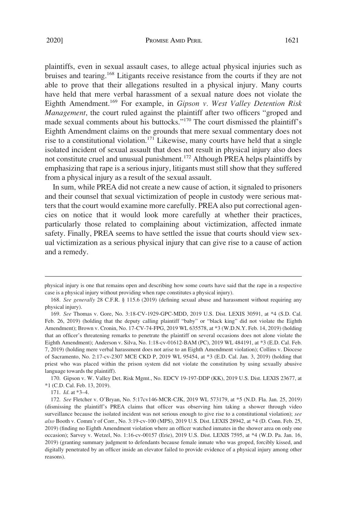plaintiffs, even in sexual assault cases, to allege actual physical injuries such as bruises and tearing.168 Litigants receive resistance from the courts if they are not able to prove that their allegations resulted in a physical injury. Many courts have held that mere verbal harassment of a sexual nature does not violate the Eighth Amendment.169 For example, in *Gipson v. West Valley Detention Risk Management*, the court ruled against the plaintiff after two officers "groped and made sexual comments about his buttocks."170 The court dismissed the plaintiff's Eighth Amendment claims on the grounds that mere sexual commentary does not rise to a constitutional violation.<sup>171</sup> Likewise, many courts have held that a single isolated incident of sexual assault that does not result in physical injury also does not constitute cruel and unusual punishment.<sup>172</sup> Although PREA helps plaintiffs by emphasizing that rape is a serious injury, litigants must still show that they suffered from a physical injury as a result of the sexual assault.

In sum, while PREA did not create a new cause of action, it signaled to prisoners and their counsel that sexual victimization of people in custody were serious matters that the court would examine more carefully. PREA also put correctional agencies on notice that it would look more carefully at whether their practices, particularly those related to complaining about victimization, affected inmate safety. Finally, PREA seems to have settled the issue that courts should view sexual victimization as a serious physical injury that can give rise to a cause of action and a remedy.

170. Gipson v. W. Valley Det. Risk Mgmt., No. EDCV 19-197-DDP (KK), 2019 U.S. Dist. LEXIS 23677, at \*1 (C.D. Cal. Feb. 13, 2019).

171. *Id*. at \*3–4.

physical injury is one that remains open and describing how some courts have said that the rape in a respective case is a physical injury without providing when rape constitutes a physical injury).

<sup>168.</sup> *See generally* 28 C.F.R. § 115.6 (2019) (defining sexual abuse and harassment without requiring any physical injury).

<sup>169.</sup> *See* Thomas v. Gore, No. 3:18-CV-1929-GPC-MDD, 2019 U.S. Dist. LEXIS 30591, at \*4 (S.D. Cal. Feb. 26, 2019) (holding that the deputy calling plaintiff "baby" or "black king" did not violate the Eighth Amendment); Brown v. Cronin, No. 17-CV-74-FPG, 2019 WL 635578, at \*3 (W.D.N.Y. Feb. 14, 2019) (holding that an officer's threatening remarks to penetrate the plaintiff on several occasions does not alone violate the Eighth Amendment); Anderson v. Silva, No. 1:18-cv-01612-BAM (PC), 2019 WL 484191, at \*3 (E.D. Cal. Feb. 7, 2019) (holding mere verbal harassment does not arise to an Eighth Amendment violation); Collins v. Diocese of Sacramento, No. 2:17-cv-2307 MCE CKD P, 2019 WL 95454, at \*3 (E.D. Cal. Jan. 3, 2019) (holding that priest who was placed within the prison system did not violate the constitution by using sexually abusive language towards the plaintiff).

<sup>172.</sup> *See* Fletcher v. O'Bryan, No. 5:17cv146-MCR-CJK, 2019 WL 573179, at \*5 (N.D. Fla. Jan. 25, 2019) (dismissing the plaintiff's PREA claims that officer was observing him taking a shower through video surveillance because the isolated incident was not serious enough to give rise to a constitutional violation); *see also* Booth v. Comm'r of Corr., No. 3:19-cv-100 (MPS), 2019 U.S. Dist. LEXIS 28942, at \*4 (D. Conn. Feb. 25, 2019) (finding no Eighth Amendment violation where an officer watched inmates in the shower area on only one occasion); Sarvey v. Wetzel, No. 1:16-cv-00157 (Erie), 2019 U.S. Dist. LEXIS 7595, at \*4 (W.D. Pa. Jan. 16, 2019) (granting summary judgment to defendants because female inmate who was groped, forcibly kissed, and digitally penetrated by an officer inside an elevator failed to provide evidence of a physical injury among other reasons).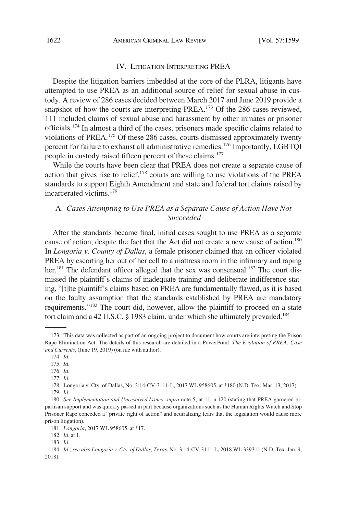#### IV. LITIGATION INTERPRETING PREA

Despite the litigation barriers imbedded at the core of the PLRA, litigants have attempted to use PREA as an additional source of relief for sexual abuse in custody. A review of 286 cases decided between March 2017 and June 2019 provide a snapshot of how the courts are interpreting PREA.<sup>173</sup> Of the 286 cases reviewed, 111 included claims of sexual abuse and harassment by other inmates or prisoner officials.174 In almost a third of the cases, prisoners made specific claims related to violations of PREA.175 Of these 286 cases, courts dismissed approximately twenty percent for failure to exhaust all administrative remedies.176 Importantly, LGBTQI people in custody raised fifteen percent of these claims.<sup>177</sup>

While the courts have been clear that PREA does not create a separate cause of action that gives rise to relief, $178$  courts are willing to use violations of the PREA standards to support Eighth Amendment and state and federal tort claims raised by incarcerated victims.<sup>179</sup>

# A. *Cases Attempting to Use PREA as a Separate Cause of Action Have Not Succeeded*

After the standards became final, initial cases sought to use PREA as a separate cause of action, despite the fact that the Act did not create a new cause of action.<sup>180</sup> In *Longoria v. County of Dallas*, a female prisoner claimed that an officer violated PREA by escorting her out of her cell to a mattress room in the infirmary and raping her.<sup>181</sup> The defendant officer alleged that the sex was consensual.<sup>182</sup> The court dismissed the plaintiff's claims of inadequate training and deliberate indifference stating, "[t]he plaintiff's claims based on PREA are fundamentally flawed, as it is based on the faulty assumption that the standards established by PREA are mandatory requirements."183 The court did, however, allow the plaintiff to proceed on a state tort claim and a 42 U.S.C. § 1983 claim, under which she ultimately prevailed.<sup>184</sup>

<sup>173.</sup> This data was collected as part of an ongoing project to document how courts are interpreting the Prison Rape Elimination Act. The details of this research are detailed in a PowerPoint, *The Evolution of PREA: Case and Currents*, (June 19, 2019) (on file with author).

<sup>174.</sup> *Id*.

<sup>175.</sup> *Id*.

<sup>176.</sup> *Id*.

<sup>177.</sup> *Id*.

<sup>178.</sup> Longoria v. Cty. of Dallas, No. 3:14-CV-3111-L, 2017 WL 958605, at \*180 (N.D. Tex. Mar. 13, 2017). 179. *Id*.

<sup>180.</sup> *See Implementation and Unresolved Issues*, *supra* note 5, at 11, n.120 (stating that PREA garnered bipartisan support and was quickly passed in part because organizations such as the Human Rights Watch and Stop Prisoner Rape conceded a "private right of action" and neutralizing fears that the legislation would cause more prison litigation).

<sup>181.</sup> *Longoria*, 2017 WL 958605, at \*17.

<sup>182.</sup> *Id*. at 1.

<sup>183.</sup> *Id*.

<sup>184.</sup> *Id*.; *see also Longoria v. Cty. of Dallas, Texas*, No. 3:14-CV-3111-L, 2018 WL 339311 (N.D. Tex. Jan. 9, 2018).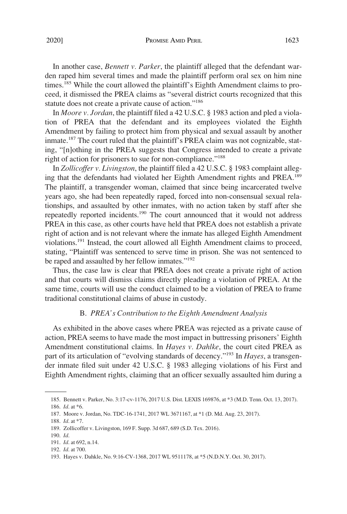In another case, *Bennett v. Parker*, the plaintiff alleged that the defendant warden raped him several times and made the plaintiff perform oral sex on him nine times.<sup>185</sup> While the court allowed the plaintiff's Eighth Amendment claims to proceed, it dismissed the PREA claims as "several district courts recognized that this statute does not create a private cause of action."<sup>186</sup>

In *Moore v. Jordan*, the plaintiff filed a 42 U.S.C. § 1983 action and pled a violation of PREA that the defendant and its employees violated the Eighth Amendment by failing to protect him from physical and sexual assault by another inmate.<sup>187</sup> The court ruled that the plaintiff's PREA claim was not cognizable, stating, "[n]othing in the PREA suggests that Congress intended to create a private right of action for prisoners to sue for non-compliance."<sup>188</sup>

In *Zollicoffer v. Livingston*, the plaintiff filed a 42 U.S.C. § 1983 complaint alleging that the defendants had violated her Eighth Amendment rights and PREA.<sup>189</sup> The plaintiff, a transgender woman, claimed that since being incarcerated twelve years ago, she had been repeatedly raped, forced into non-consensual sexual relationships, and assaulted by other inmates, with no action taken by staff after she repeatedly reported incidents.<sup>190</sup> The court announced that it would not address PREA in this case, as other courts have held that PREA does not establish a private right of action and is not relevant where the inmate has alleged Eighth Amendment violations.<sup>191</sup> Instead, the court allowed all Eighth Amendment claims to proceed, stating, "Plaintiff was sentenced to serve time in prison. She was not sentenced to be raped and assaulted by her fellow inmates."<sup>192</sup>

Thus, the case law is clear that PREA does not create a private right of action and that courts will dismiss claims directly pleading a violation of PREA. At the same time, courts will use the conduct claimed to be a violation of PREA to frame traditional constitutional claims of abuse in custody.

#### B. *PREA's Contribution to the Eighth Amendment Analysis*

As exhibited in the above cases where PREA was rejected as a private cause of action, PREA seems to have made the most impact in buttressing prisoners' Eighth Amendment constitutional claims. In *Hayes v. Dahlke*, the court cited PREA as part of its articulation of "evolving standards of decency."193 In *Hayes*, a transgender inmate filed suit under 42 U.S.C. § 1983 alleging violations of his First and Eighth Amendment rights, claiming that an officer sexually assaulted him during a

<sup>185.</sup> Bennett v. Parker, No. 3:17-cv-1176, 2017 U.S. Dist. LEXIS 169876, at \*3 (M.D. Tenn. Oct. 13, 2017). 186. *Id*. at \*6.

<sup>187.</sup> Moore v. Jordan, No. TDC-16-1741, 2017 WL 3671167, at \*1 (D. Md. Aug. 23, 2017).

<sup>188.</sup> *Id*. at \*7.

<sup>189.</sup> Zollicoffer v. Livingston, 169 F. Supp. 3d 687, 689 (S.D. Tex. 2016).

<sup>190.</sup> *Id*.

<sup>191.</sup> *Id*. at 692, n.14.

<sup>192.</sup> *Id*. at 700.

<sup>193.</sup> Hayes v. Dahkle, No. 9:16-CV-1368, 2017 WL 9511178, at \*5 (N.D.N.Y. Oct. 30, 2017).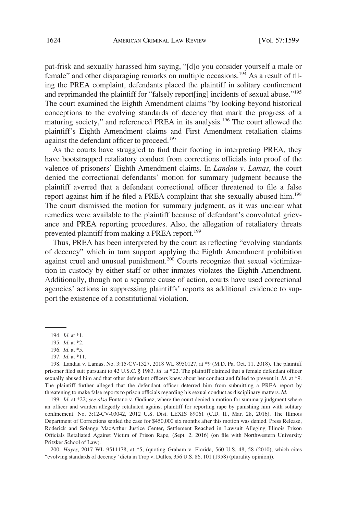pat-frisk and sexually harassed him saying, "[d]o you consider yourself a male or female" and other disparaging remarks on multiple occasions.194 As a result of filing the PREA complaint, defendants placed the plaintiff in solitary confinement and reprimanded the plaintiff for "falsely report[ing] incidents of sexual abuse."195 The court examined the Eighth Amendment claims "by looking beyond historical conceptions to the evolving standards of decency that mark the progress of a maturing society," and referenced PREA in its analysis.196 The court allowed the plaintiff's Eighth Amendment claims and First Amendment retaliation claims against the defendant officer to proceed.<sup>197</sup>

As the courts have struggled to find their footing in interpreting PREA, they have bootstrapped retaliatory conduct from corrections officials into proof of the valence of prisoners' Eighth Amendment claims. In *Landau v. Lamas*, the court denied the correctional defendants' motion for summary judgment because the plaintiff averred that a defendant correctional officer threatened to file a false report against him if he filed a PREA complaint that she sexually abused him.<sup>198</sup> The court dismissed the motion for summary judgment, as it was unclear what remedies were available to the plaintiff because of defendant's convoluted grievance and PREA reporting procedures. Also, the allegation of retaliatory threats prevented plaintiff from making a PREA report.<sup>199</sup>

Thus, PREA has been interpreted by the court as reflecting "evolving standards of decency" which in turn support applying the Eighth Amendment prohibition against cruel and unusual punishment.<sup>200</sup> Courts recognize that sexual victimization in custody by either staff or other inmates violates the Eighth Amendment. Additionally, though not a separate cause of action, courts have used correctional agencies' actions in suppressing plaintiffs' reports as additional evidence to support the existence of a constitutional violation.

199. *Id*. at \*22; *see also* Fontano v. Godinez, where the court denied a motion for summary judgment where an officer and warden allegedly retaliated against plaintiff for reporting rape by punishing him with solitary confinement. No. 3:12-CV-03042, 2012 U.S. Dist. LEXIS 89061 (C.D. Il., Mar. 28, 2016). The Illinois Department of Corrections settled the case for \$450,000 six months after this motion was denied. Press Release, Roderick and Solange MacArthur Justice Center, Settlement Reached in Lawsuit Alleging Illinois Prison Officials Retaliated Against Victim of Prison Rape, (Sept. 2, 2016) (on file with Northwestern University Pritzker School of Law).

200. *Hayes*, 2017 WL 9511178, at \*5, (quoting Graham v. Florida, 560 U.S. 48, 58 (2010), which cites "evolving standards of decency" dicta in Trop v. Dulles, 356 U.S. 86, 101 (1958) (plurality opinion)).

<sup>194.</sup> *Id*. at \*1.

<sup>195.</sup> *Id*. at \*2.

<sup>196.</sup> *Id*. at \*5.

<sup>197.</sup> *Id*. at \*11.

<sup>198.</sup> Landau v. Lamas, No. 3:15-CV-1327, 2018 WL 8950127, at \*9 (M.D. Pa. Oct. 11, 2018). The plaintiff prisoner filed suit pursuant to 42 U.S.C. § 1983. *Id*. at \*22. The plaintiff claimed that a female defendant officer sexually abused him and that other defendant officers knew about her conduct and failed to prevent it. *Id*. at \*9. The plaintiff further alleged that the defendant officer deterred him from submitting a PREA report by threatening to make false reports to prison officials regarding his sexual conduct as disciplinary matters. *Id*.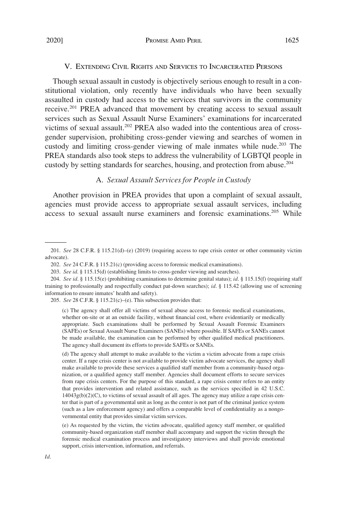## V. EXTENDING CIVIL RIGHTS AND SERVICES TO INCARCERATED PERSONS

Though sexual assault in custody is objectively serious enough to result in a constitutional violation, only recently have individuals who have been sexually assaulted in custody had access to the services that survivors in the community receive.201 PREA advanced that movement by creating access to sexual assault services such as Sexual Assault Nurse Examiners' examinations for incarcerated victims of sexual assault.<sup>202</sup> PREA also waded into the contentious area of crossgender supervision, prohibiting cross-gender viewing and searches of women in custody and limiting cross-gender viewing of male inmates while nude.<sup>203</sup> The PREA standards also took steps to address the vulnerability of LGBTQI people in custody by setting standards for searches, housing, and protection from abuse.204

## A. *Sexual Assault Services for People in Custody*

Another provision in PREA provides that upon a complaint of sexual assault, agencies must provide access to appropriate sexual assault services, including access to sexual assault nurse examiners and forensic examinations.<sup>205</sup> While

205. *See* 28 C.F.R. § 115.21(c)–(e). This subsection provides that:

<sup>201.</sup> *See* 28 C.F.R. § 115.21(d)–(e) (2019) (requiring access to rape crisis center or other community victim advocate).

<sup>202.</sup> *See* 24 C.F.R. § 115.21(c) (providing access to forensic medical examinations).

<sup>203.</sup> *See id*. § 115.15(d) (establishing limits to cross-gender viewing and searches).

<sup>204.</sup> *See id*. § 115.15(e) (prohibiting examinations to determine genital status); *id*. § 115.15(f) (requiring staff training to professionally and respectfully conduct pat-down searches); *id*. § 115.42 (allowing use of screening information to ensure inmates' health and safety).

<sup>(</sup>c) The agency shall offer all victims of sexual abuse access to forensic medical examinations, whether on-site or at an outside facility, without financial cost, where evidentiarily or medically appropriate. Such examinations shall be performed by Sexual Assault Forensic Examiners (SAFEs) or Sexual Assault Nurse Examiners (SANEs) where possible. If SAFEs or SANEs cannot be made available, the examination can be performed by other qualified medical practitioners. The agency shall document its efforts to provide SAFEs or SANEs.

<sup>(</sup>d) The agency shall attempt to make available to the victim a victim advocate from a rape crisis center. If a rape crisis center is not available to provide victim advocate services, the agency shall make available to provide these services a qualified staff member from a community-based organization, or a qualified agency staff member. Agencies shall document efforts to secure services from rape crisis centers. For the purpose of this standard, a rape crisis center refers to an entity that provides intervention and related assistance, such as the services specified in 42 U.S.C. 14043g(b)(2)(C), to victims of sexual assault of all ages. The agency may utilize a rape crisis center that is part of a governmental unit as long as the center is not part of the criminal justice system (such as a law enforcement agency) and offers a comparable level of confidentiality as a nongovernmental entity that provides similar victim services.

<sup>(</sup>e) As requested by the victim, the victim advocate, qualified agency staff member, or qualified community-based organization staff member shall accompany and support the victim through the forensic medical examination process and investigatory interviews and shall provide emotional support, crisis intervention, information, and referrals.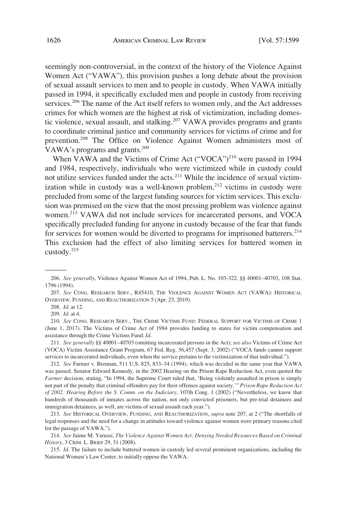seemingly non-controversial, in the context of the history of the Violence Against Women Act ("VAWA"), this provision pushes a long debate about the provision of sexual assault services to men and to people in custody. When VAWA initially passed in 1994, it specifically excluded men and people in custody from receiving services.<sup>206</sup> The name of the Act itself refers to women only, and the Act addresses crimes for which women are the highest at risk of victimization, including domestic violence, sexual assault, and stalking.<sup>207</sup> VAWA provides programs and grants to coordinate criminal justice and community services for victims of crime and for prevention.<sup>208</sup> The Office on Violence Against Women administers most of VAWA's programs and grants.<sup>209</sup>

When VAWA and the Victims of Crime Act ("VOCA")<sup>210</sup> were passed in 1994 and 1984, respectively, individuals who were victimized while in custody could not utilize services funded under the acts.<sup>211</sup> While the incidence of sexual victimization while in custody was a well-known problem, $^{212}$  victims in custody were precluded from some of the largest funding sources for victim services. This exclusion was premised on the view that the most pressing problem was violence against women.213 VAWA did not include services for incarcerated persons, and VOCA specifically precluded funding for anyone in custody because of the fear that funds for services for women would be diverted to programs for imprisoned batterers.<sup>214</sup> This exclusion had the effect of also limiting services for battered women in custody.215

<sup>206.</sup> *See generally*, Violence Against Women Act of 1994, Pub. L. No. 103-322, §§ 40001–40703, 108 Stat. 1796 (1994).

<sup>207.</sup> *See* CONG. RESEARCH SERV., R45410, THE VIOLENCE AGAINST WOMEN ACT (VAWA): HISTORICAL OVERVIEW, FUNDING, AND REAUTHORIZATION 5 (Apr. 23, 2019).

<sup>208.</sup> *Id*. at 12.

<sup>209.</sup> *Id*. at 4.

<sup>210.</sup> *See* CONG. RESEARCH SERV., THE CRIME VICTIMS FUND: FEDERAL SUPPORT FOR VICTIMS OF CRIME 1 (June 1, 2017). The Victims of Crime Act of 1984 provides funding to states for victim compensation and assistance through the Crime Victims Fund. *Id*.

<sup>211.</sup> *See generally* §§ 40001–40703 (omitting incarcerated persons in the Act); *see also* Victims of Crime Act (VOCA) Victim Assistance Grant Program, 67 Fed. Reg. 56,457 (Sept. 3, 2002) ("VOCA funds cannot support services to incarcerated individuals, even when the service pertains to the victimization of that individual.").

<sup>212.</sup> *See* Farmer v. Brennan, 511 U.S. 825, 833–34 (1994), which was decided in the same year that VAWA was passed. Senator Edward Kennedy, in the 2002 Hearing on the Prison Rape Reduction Act, even quoted the *Farmer decision, stating, "In 1994, the Supreme Court ruled that, 'Being violently assaulted in prison is simply* not part of the penalty that criminal offenders pay for their offenses against society.'" *Prison Rape Reduction Act of 2002: Hearing Before the S. Comm. on the Judiciary*, 107th Cong. 1 (2002) ("Nevertheless, we know that hundreds of thousands of inmates across the nation, not only convicted prisoners, but pre-trial detainees and immigration detainees, as well, are victims of sexual assault each year.").

<sup>213.</sup> *See* HISTORICAL OVERVIEW, FUNDING, AND REAUTHORIZATION, *supra* note 207, at 2 ("The shortfalls of legal responses and the need for a change in attitudes toward violence against women were primary reasons cited for the passage of VAWA.").

<sup>214.</sup> *See* Jaime M. Yarussi*, The Violence Against Women Act: Denying Needed Resources Based on Criminal History*, 3 CRIM. L. BRIEF 29, 31 (2008).

<sup>215.</sup> *Id*. The failure to include battered women in custody led several prominent organizations, including the National Women's Law Center, to initially oppose the VAWA.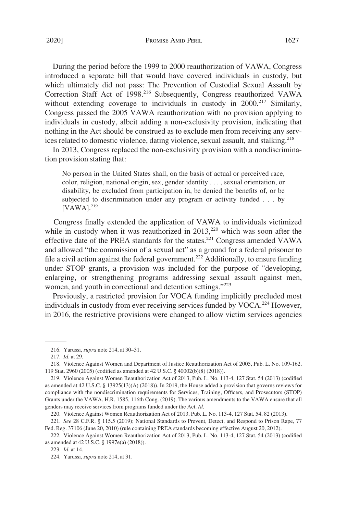During the period before the 1999 to 2000 reauthorization of VAWA, Congress introduced a separate bill that would have covered individuals in custody, but which ultimately did not pass: The Prevention of Custodial Sexual Assault by Correction Staff Act of 1998.216 Subsequently, Congress reauthorized VAWA without extending coverage to individuals in custody in 2000.<sup>217</sup> Similarly, Congress passed the 2005 VAWA reauthorization with no provision applying to individuals in custody, albeit adding a non-exclusivity provision, indicating that nothing in the Act should be construed as to exclude men from receiving any services related to domestic violence, dating violence, sexual assault, and stalking.<sup>218</sup>

In 2013, Congress replaced the non-exclusivity provision with a nondiscrimination provision stating that:

No person in the United States shall, on the basis of actual or perceived race, color, religion, national origin, sex, gender identity . . . , sexual orientation, or disability, be excluded from participation in, be denied the benefits of, or be subjected to discrimination under any program or activity funded . . . by  $[VAWA]$ <sup>219</sup>

Congress finally extended the application of VAWA to individuals victimized while in custody when it was reauthorized in  $2013$ ,<sup>220</sup> which was soon after the effective date of the PREA standards for the states.<sup>221</sup> Congress amended VAWA and allowed "the commission of a sexual act" as a ground for a federal prisoner to file a civil action against the federal government.<sup>222</sup> Additionally, to ensure funding under STOP grants, a provision was included for the purpose of "developing, enlarging, or strengthening programs addressing sexual assault against men, women, and youth in correctional and detention settings."223

Previously, a restricted provision for VOCA funding implicitly precluded most individuals in custody from ever receiving services funded by VOCA.<sup>224</sup> However, in 2016, the restrictive provisions were changed to allow victim services agencies

220. Violence Against Women Reauthorization Act of 2013, Pub. L. No. 113-4, 127 Stat. 54, 82 (2013).

<sup>216.</sup> Yarussi, *supra* note 214, at 30–31.

<sup>217.</sup> *Id*. at 29.

<sup>218.</sup> Violence Against Women and Department of Justice Reauthorization Act of 2005, Pub. L. No. 109-162, 119 Stat. 2960 (2005) (codified as amended at 42 U.S.C. § 40002(b)(8) (2018)).

<sup>219.</sup> Violence Against Women Reauthorization Act of 2013, Pub. L. No. 113-4, 127 Stat. 54 (2013) (codified as amended at 42 U.S.C. § 13925(13)(A) (2018)). In 2019, the House added a provision that governs reviews for compliance with the nondiscrimination requirements for Services, Training, Officers, and Prosecutors (STOP) Grants under the VAWA. H.R. 1585, 116th Cong. (2019). The various amendments to the VAWA ensure that all genders may receive services from programs funded under the Act. *Id*.

<sup>221.</sup> *See* 28 C.F.R. § 115.5 (2019); National Standards to Prevent, Detect, and Respond to Prison Rape, 77 Fed. Reg. 37106 (June 20, 2010) (rule containing PREA standards becoming effective August 20, 2012).

<sup>222.</sup> Violence Against Women Reauthorization Act of 2013, Pub. L. No. 113-4, 127 Stat. 54 (2013) (codified as amended at 42 U.S.C. § 1997e(a) (2018)).

<sup>223.</sup> *Id*. at 14.

<sup>224.</sup> Yarussi, *supra* note 214, at 31.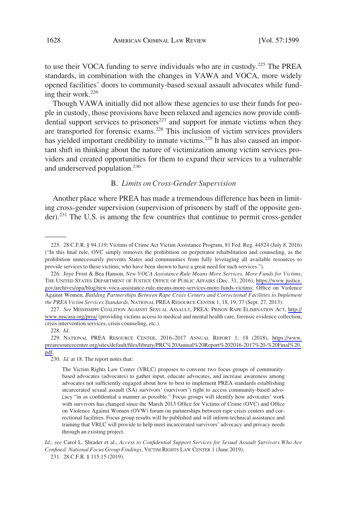to use their VOCA funding to serve individuals who are in custody.225 The PREA standards, in combination with the changes in VAWA and VOCA, more widely opened facilities' doors to community-based sexual assault advocates while funding their work. $226$ 

Though VAWA initially did not allow these agencies to use their funds for people in custody, those provisions have been relaxed and agencies now provide confidential support services to prisoners $^{227}$  and support for inmate victims when they are transported for forensic exams.<sup>228</sup> This inclusion of victim services providers has yielded important credibility to inmate victims.<sup>229</sup> It has also caused an important shift in thinking about the nature of victimization among victim services providers and created opportunities for them to expand their services to a vulnerable and underserved population.<sup>230</sup>

## B. *Limits on Cross-Gender Supervision*

Another place where PREA has made a tremendous difference has been in limiting cross-gender supervision (supervision of prisoners by staff of the opposite gender).<sup>231</sup> The U.S. is among the few countries that continue to permit cross-gender

228. *Id*.

229. NATIONAL PREA RESOURCE CENTER, 2016–2017 ANNUAL REPORT 1, 18 (2018), [https://www.](https://www.prearesourcecenter.org/sites/default/files/library/PRC%20Annual%20Report%202016-2017%20-%20Final%20.pdf) [prearesourcecenter.org/sites/default/files/library/PRC%20Annual%20Report%202016-2017%20-%20Final%20.](https://www.prearesourcecenter.org/sites/default/files/library/PRC%20Annual%20Report%202016-2017%20-%20Final%20.pdf) [pdf.](https://www.prearesourcecenter.org/sites/default/files/library/PRC%20Annual%20Report%202016-2017%20-%20Final%20.pdf)

230. *Id*. at 18. The report notes that:

<sup>225. 28</sup> C.F.R. § 94.119; Victims of Crime Act Victim Assistance Program, 81 Fed. Reg. 44524 (July 8, 2016) ("In this final rule, OVC simply removes the prohibition on perpetrator rehabilitation and counseling, as the prohibition unnecessarily prevents States and communities from fully leveraging all available resources to provide services to these victims, who have been shown to have a great need for such services.").

<sup>226.</sup> Joye Frost & Bea Hanson, New VOCA Assistance Rule Means More Services, More Funds for Victims, THE UNITED STATES DEPARTMENT OF JUSTICE OFFICE OF PUBLIC AFFAIRS (Dec. 31, 2016), [https://www.justice.](https://www.justice.gov/archives/opa/blog/new-voca-assistance-rule-means-more-services-more-funds-victims) [gov/archives/opa/blog/new-voca-assistance-rule-means-more-services-more-funds-victims](https://www.justice.gov/archives/opa/blog/new-voca-assistance-rule-means-more-services-more-funds-victims); Office on Violence Against Women, *Building Partnerships Between Rape Crisis Centers and Correctional Facilities to Implement the PREA Victim Services Standards*, NATIONAL PREA RESOURCE CENTER 1, 18, 19, 37 (Sept. 27, 2013).

*See* MISSISSIPPI COALITION AGAINST SEXUAL ASSAULT, PREA: PRISON RAPE ELIMINATION ACT, [http://](http://www.mscasa.org/prea/) 227. [www.mscasa.org/prea/](http://www.mscasa.org/prea/) (providing victims access to medical and mental health care, forensic evidence collection, crisis intervention services, crisis counseling, etc.).

The Victim Rights Law Center (VRLC) proposes to convene two focus groups of communitybased advocates (advocates) to gather input, educate advocates, and increase awareness among advocates not sufficiently engaged about how to best to implement PREA standards establishing incarcerated sexual assault (SA) survivors' (survivors') right to access community-based advocacy "in as confidential a manner as possible." Focus groups will identify how advocates' work with survivors has changed since the March 2013 Office for Victims of Crime (OVC) and Office on Violence Against Women (OVW) forum on partnerships between rape crisis centers and correctional facilities. Focus group results will be published and will inform technical assistance and training that VRLC will provide to help meet incarcerated survivors' advocacy and privacy needs through an existing project.

*Id*.; *see* Carol L. Shrader et al., *Access to Confidential Support Services for Sexual Assault Survivors Who Are Confined: National Focus Group Findings*, VICTIM RIGHTS LAW CENTER 1 (June 2019).

<sup>231. 28</sup> C.F.R. § 115.15 (2019).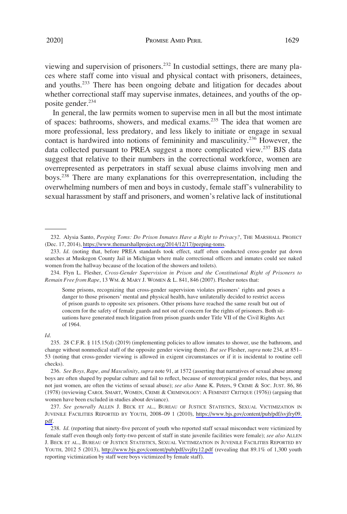2020] PROMISE AMID PERIL 1629

viewing and supervision of prisoners.<sup>232</sup> In custodial settings, there are many places where staff come into visual and physical contact with prisoners, detainees, and youths.<sup>233</sup> There has been ongoing debate and litigation for decades about whether correctional staff may supervise inmates, detainees, and youths of the opposite gender.<sup>234</sup>

In general, the law permits women to supervise men in all but the most intimate of spaces: bathrooms, showers, and medical exams.235 The idea that women are more professional, less predatory, and less likely to initiate or engage in sexual contact is hardwired into notions of femininity and masculinity.236 However, the data collected pursuant to PREA suggest a more complicated view.<sup>237</sup> BJS data suggest that relative to their numbers in the correctional workforce, women are overrepresented as perpetrators in staff sexual abuse claims involving men and boys.238 There are many explanations for this overrepresentation, including the overwhelming numbers of men and boys in custody, female staff's vulnerability to sexual harassment by staff and prisoners, and women's relative lack of institutional

#### *Id*.

<sup>232.</sup> Alysia Santo, *Peeping Toms: Do Prison Inmates Have a Right to Privacy?*, THE MARSHALL PROJECT (Dec. 17, 2014), <https://www.themarshallproject.org/2014/12/17/peeping-toms>.

<sup>233.</sup> *Id*. (noting that, before PREA standards took effect, staff often conducted cross-gender pat down searches at Muskegon County Jail in Michigan where male correctional officers and inmates could see naked women from the hallway because of the location of the showers and toilets).

<sup>234.</sup> Flyn L. Flesher, *Cross-Gender Supervision in Prison and the Constitutional Right of Prisoners to Remain Free from Rape*, 13 WM. & MARY J. WOMEN & L. 841, 846 (2007). Flesher notes that:

Some prisons, recognizing that cross-gender supervision violates prisoners' rights and poses a danger to those prisoners' mental and physical health, have unilaterally decided to restrict access of prison guards to opposite sex prisoners. Other prisons have reached the same result but out of concern for the safety of female guards and not out of concern for the rights of prisoners. Both situations have generated much litigation from prison guards under Title VII of the Civil Rights Act of 1964.

<sup>235. 28</sup> C.F.R. § 115.15(d) (2019) (implementing policies to allow inmates to shower, use the bathroom, and change without nonmedical staff of the opposite gender viewing them). *But see* Flesher, *supra* note 234, at 851– 53 (noting that cross-gender viewing is allowed in exigent circumstances or if it is incidental to routine cell checks).

<sup>236.</sup> *See Boys, Rape, and Masculinity*, *supra* note 91, at 1572 (asserting that narratives of sexual abuse among boys are often shaped by popular culture and fail to reflect, because of stereotypical gender roles, that boys, and not just women, are often the victims of sexual abuse); *see also* Anne K. Peters, 9 CRIME & SOC. JUST. 86, 86 (1978) (reviewing CAROL SMART, WOMEN, CRIME & CRIMINOLOGY: A FEMINIST CRITIQUE (1976)) (arguing that women have been excluded in studies about deviance).

<sup>237.</sup> See generally ALLEN J. BECK ET AL., BUREAU OF JUSTICE STATISTICS, SEXUAL VICTIMIZATION IN JUVENILE FACILITIES REPORTED BY YOUTH, 2008–09 1 (2010), [https://www.bjs.gov/content/pub/pdf/svjfry09.](https://www.bjs.gov/content/pub/pdf/svjfry09.pdf)  [pdf.](https://www.bjs.gov/content/pub/pdf/svjfry09.pdf)

<sup>238.</sup> *Id.* (reporting that ninety-five percent of youth who reported staff sexual misconduct were victimized by female staff even though only forty-two percent of staff in state juvenile facilities were female); *see also* ALLEN J. BECK ET AL., BUREAU OF JUSTICE STATISTICS, SEXUAL VICTIMIZATION IN JUVENILE FACILITIES REPORTED BY YOUTH, 2012 5 (2013), <http://www.bjs.gov/content/pub/pdf/svjfry12.pdf> (revealing that 89.1% of 1,300 youth reporting victimization by staff were boys victimized by female staff).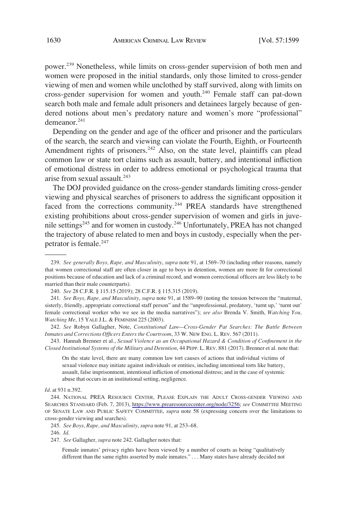power.<sup>239</sup> Nonetheless, while limits on cross-gender supervision of both men and women were proposed in the initial standards, only those limited to cross-gender viewing of men and women while unclothed by staff survived, along with limits on cross-gender supervision for women and youth.<sup>240</sup> Female staff can pat-down search both male and female adult prisoners and detainees largely because of gendered notions about men's predatory nature and women's more "professional" demeanor<sup>241</sup>

Depending on the gender and age of the officer and prisoner and the particulars of the search, the search and viewing can violate the Fourth, Eighth, or Fourteenth Amendment rights of prisoners.<sup>242</sup> Also, on the state level, plaintiffs can plead common law or state tort claims such as assault, battery, and intentional infliction of emotional distress in order to address emotional or psychological trauma that arise from sexual assault.<sup>243</sup>

The DOJ provided guidance on the cross-gender standards limiting cross-gender viewing and physical searches of prisoners to address the significant opposition it faced from the corrections community.<sup>244</sup> PREA standards have strengthened existing prohibitions about cross-gender supervision of women and girls in juvenile settings<sup>245</sup> and for women in custody.<sup>246</sup> Unfortunately, PREA has not changed the trajectory of abuse related to men and boys in custody, especially when the perpetrator is female.<sup>247</sup>

*Id*. at 931 n.392.

246. *Id*.

<sup>239.</sup> *See generally Boys, Rape, and Masculinity*, *supra* note 91, at 1569–70 (including other reasons, namely that women correctional staff are often closer in age to boys in detention, women are more fit for correctional positions because of education and lack of a criminal record, and women correctional officers are less likely to be married than their male counterparts).

<sup>240.</sup> *See* 28 C.F.R. § 115.15 (2019); 28 C.F.R. § 115.315 (2019).

<sup>241.</sup> *See Boys, Rape, and Masculinity*, *supra* note 91, at 1589–90 (noting the tension between the "maternal, sisterly, friendly, appropriate correctional staff person" and the "unprofessional, predatory, 'turnt up,' 'turnt out' female correctional worker who we see in the media narratives"); *see also* Brenda V. Smith, *Watching You, Watching Me*, 15 YALE J.L. & FEMINISM 225 (2003).

<sup>242.</sup> *See* Robyn Gallagher, Note, *Constitutional Law—Cross-Gender Pat Searches: The Battle Between Inmates and Corrections Officers Enters the Courtroom*, 33 W. NEW ENG. L. REV. 567 (2011).

<sup>243.</sup> Hannah Brenner et al., *Sexual Violence as an Occupational Hazard & Condition of Confinement in the Closed Institutional Systems of the Military and Detention*, 44 PEPP. L. REV. 881 (2017). Brenner et al. note that:

On the state level, there are many common law tort causes of actions that individual victims of sexual violence may initiate against individuals or entities, including intentional torts like battery, assault, false imprisonment, intentional infliction of emotional distress; and in the case of systemic abuse that occurs in an institutional setting, negligence.

<sup>244.</sup> NATIONAL PREA RESOURCE CENTER, PLEASE EXPLAIN THE ADULT CROSS-GENDER VIEWING AND SEARCHES STANDARD (Feb. 7, 2013), [https://www.prearesourcecenter.org/node/3256;](https://www.prearesourcecenter.org/node/3256) *see* COMMITTEE MEETING OF SENATE LAW AND PUBLIC SAFETY COMMITTEE, *supra* note 58 (expressing concern over the limitations to cross-gender viewing and searches).

<sup>245.</sup> *See Boys, Rape, and Masculinity*, *supra* note 91, at 253–68.

<sup>247.</sup> *See* Gallagher, *supra* note 242. Gallagher notes that:

Female inmates' privacy rights have been viewed by a number of courts as being "qualitatively different than the same rights asserted by male inmates." . . . Many states have already decided not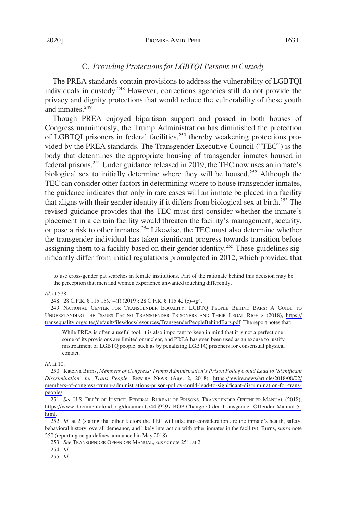## C. *Providing Protections for LGBTQI Persons in Custody*

The PREA standards contain provisions to address the vulnerability of LGBTQI individuals in custody.248 However, corrections agencies still do not provide the privacy and dignity protections that would reduce the vulnerability of these youth and inmates.<sup>249</sup>

Though PREA enjoyed bipartisan support and passed in both houses of Congress unanimously, the Trump Administration has diminished the protection of LGBTQI prisoners in federal facilities,<sup>250</sup> thereby weakening protections provided by the PREA standards. The Transgender Executive Council ("TEC") is the body that determines the appropriate housing of transgender inmates housed in federal prisons.<sup>251</sup> Under guidance released in 2019, the TEC now uses an inmate's biological sex to initially determine where they will be housed.<sup>252</sup> Although the TEC can consider other factors in determining where to house transgender inmates, the guidance indicates that only in rare cases will an inmate be placed in a facility that aligns with their gender identity if it differs from biological sex at birth.253 The revised guidance provides that the TEC must first consider whether the inmate's placement in a certain facility would threaten the facility's management, security, or pose a risk to other inmates.254 Likewise, the TEC must also determine whether the transgender individual has taken significant progress towards transition before assigning them to a facility based on their gender identity.<sup>255</sup> These guidelines significantly differ from initial regulations promulgated in 2012, which provided that

to use cross-gender pat searches in female institutions. Part of the rationale behind this decision may be the perception that men and women experience unwanted touching differently.

*Id*. at 578.

248. 28 C.F.R. § 115.15(e)–(f) (2019); 28 C.F.R. § 115.42 (c)–(g).

249. NATIONAL CENTER FOR TRANSGENDER EQUALITY, LGBTQ PEOPLE BEHIND BARS: A GUIDE TO UNDERSTANDING THE ISSUES FACING TRANSGENDER PRISONERS AND THEIR LEGAL RIGHTS (2018), [https://](https://transequality.org/sites/default/files/docs/resources/TransgenderPeopleBehindBars.pdf) [transequality.org/sites/default/files/docs/resources/TransgenderPeopleBehindBars.pdf](https://transequality.org/sites/default/files/docs/resources/TransgenderPeopleBehindBars.pdf). The report notes that:

While PREA is often a useful tool, it is also important to keep in mind that it is not a perfect one: some of its provisions are limited or unclear, and PREA has even been used as an excuse to justify mistreatment of LGBTQ people, such as by penalizing LGBTQ prisoners for consensual physical contact.

*Id*. at 10.

250. Katelyn Burns, *Members of Congress: Trump Administration's Prison Policy Could Lead to 'Significant Discrimination' for Trans People*, REWIRE NEWS (Aug. 2, 2018), [https://rewire.news/article/2018/08/02/](https://rewire.news/article/2018/08/02/members-of-congress-trump-administrations-prison-policy-could-lead-to-significant-discrimination-for-trans-people/) [members-of-congress-trump-administrations-prison-policy-could-lead-to-significant-discrimination-for-trans](https://rewire.news/article/2018/08/02/members-of-congress-trump-administrations-prison-policy-could-lead-to-significant-discrimination-for-trans-people/)[people/](https://rewire.news/article/2018/08/02/members-of-congress-trump-administrations-prison-policy-could-lead-to-significant-discrimination-for-trans-people/).

251. See U.S. DEP'T OF JUSTICE, FEDERAL BUREAU OF PRISONS, TRANSGENDER OFFENDER MANUAL (2018), [https://www.documentcloud.org/documents/4459297-BOP-Change-Order-Transgender-Offender-Manual-5.](https://www.documentcloud.org/documents/4459297-BOP-Change-Order-Transgender-Offender-Manual-5.html)  [html](https://www.documentcloud.org/documents/4459297-BOP-Change-Order-Transgender-Offender-Manual-5.html).

252. *Id*. at 2 (stating that other factors the TEC will take into consideration are the inmate's health, safety, behavioral history, overall demeanor, and likely interaction with other inmates in the facility); Burns, *supra* note 250 (reporting on guidelines announced in May 2018).

254. *Id*.

255. *Id*.

<sup>253.</sup> *See* TRANSGENDER OFFENDER MANUAL, *supra* note 251, at 2.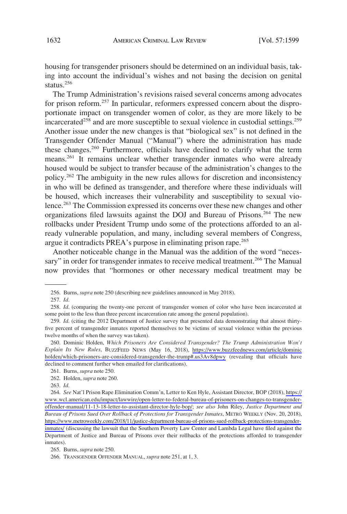housing for transgender prisoners should be determined on an individual basis, taking into account the individual's wishes and not basing the decision on genital status.<sup>256</sup>

The Trump Administration's revisions raised several concerns among advocates for prison reform.257 In particular, reformers expressed concern about the disproportionate impact on transgender women of color, as they are more likely to be incarcerated<sup>258</sup> and are more susceptible to sexual violence in custodial settings.<sup>259</sup> Another issue under the new changes is that "biological sex" is not defined in the Transgender Offender Manual ("Manual") where the administration has made these changes.<sup>260</sup> Furthermore, officials have declined to clarify what the term means.261 It remains unclear whether transgender inmates who were already housed would be subject to transfer because of the administration's changes to the policy.262 The ambiguity in the new rules allows for discretion and inconsistency in who will be defined as transgender, and therefore where these individuals will be housed, which increases their vulnerability and susceptibility to sexual violence.<sup>263</sup> The Commission expressed its concerns over these new changes and other organizations filed lawsuits against the DOJ and Bureau of Prisons.<sup>264</sup> The new rollbacks under President Trump undo some of the protections afforded to an already vulnerable population, and many, including several members of Congress, argue it contradicts PREA's purpose in eliminating prison rape.<sup>265</sup>

Another noticeable change in the Manual was the addition of the word "necessary" in order for transgender inmates to receive medical treatment.<sup>266</sup> The Manual now provides that "hormones or other necessary medical treatment may be

<sup>256.</sup> Burns, *supra* note 250 (describing new guidelines announced in May 2018).

<sup>257.</sup> *Id*.

<sup>258.</sup> *Id*. (comparing the twenty-one percent of transgender women of color who have been incarcerated at some point to the less than three percent incarceration rate among the general population).

<sup>259.</sup> *Id*. (citing the 2012 Department of Justice survey that presented data demonstrating that almost thirtyfive percent of transgender inmates reported themselves to be victims of sexual violence within the previous twelve months of when the survey was taken).

<sup>260.</sup> Dominic Holden, *Which Prisoners Are Considered Transgender? The Trump Administration Won't Explain Its New Rules*, BUZZFEED NEWS (May 16, 2018), [https://www.buzzfeednews.com/article/dominic](https://www.buzzfeednews.com/article/dominicholden/which-prisoners-are-considered-transgender-the-trump#.us3Av8dpwy) [holden/which-prisoners-are-considered-transgender-the-trump#.us3Av8dpwy](https://www.buzzfeednews.com/article/dominicholden/which-prisoners-are-considered-transgender-the-trump#.us3Av8dpwy) (revealing that officials have declined to comment further when emailed for clarifications).

<sup>261.</sup> Burns, *supra* note 250.

<sup>262.</sup> Holden, *supra* note 260.

<sup>263.</sup> *Id*.

*See* Nat'l Prison Rape Elimination Comm'n, Letter to Ken Hyle, Assistant Director, BOP (2018), [https://](https://www.wcl.american.edu/impact/lawwire/open-letter-to-federal-bureau-of-prisoners-on-changes-to-transgender-offender-manual/11-13-18-letter-to-assistant-director-hyle-bop/) 264. [www.wcl.american.edu/impact/lawwire/open-letter-to-federal-bureau-of-prisoners-on-changes-to-transgender](https://www.wcl.american.edu/impact/lawwire/open-letter-to-federal-bureau-of-prisoners-on-changes-to-transgender-offender-manual/11-13-18-letter-to-assistant-director-hyle-bop/)[offender-manual/11-13-18-letter-to-assistant-director-hyle-bop/;](https://www.wcl.american.edu/impact/lawwire/open-letter-to-federal-bureau-of-prisoners-on-changes-to-transgender-offender-manual/11-13-18-letter-to-assistant-director-hyle-bop/) *see also* John Riley, *Justice Department and Bureau of Prisons Sued Over Rollback of Protections for Transgender Inmates*, METRO WEEKLY (Nov. 20, 2018), [https://www.metroweekly.com/2018/11/justice-department-bureau-of-prisons-sued-rollback-protections-transgender](https://www.metroweekly.com/2018/11/justice-department-bureau-of-prisons-sued-rollback-protections-transgender-inmates/)[inmates/](https://www.metroweekly.com/2018/11/justice-department-bureau-of-prisons-sued-rollback-protections-transgender-inmates/) (discussing the lawsuit that the Southern Poverty Law Center and Lambda Legal have filed against the Department of Justice and Bureau of Prisons over their rollbacks of the protections afforded to transgender inmates).

<sup>265.</sup> Burns, *supra* note 250.

<sup>266.</sup> TRANSGENDER OFFENDER MANUAL, *supra* note 251, at 1, 3.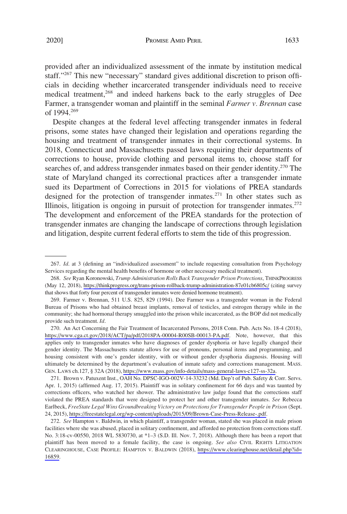provided after an individualized assessment of the inmate by institution medical staff."<sup>267</sup> This new "necessary" standard gives additional discretion to prison officials in deciding whether incarcerated transgender individuals need to receive medical treatment,<sup>268</sup> and indeed harkens back to the early struggles of Dee Farmer, a transgender woman and plaintiff in the seminal *Farmer v. Brennan* case of 1994.269

Despite changes at the federal level affecting transgender inmates in federal prisons, some states have changed their legislation and operations regarding the housing and treatment of transgender inmates in their correctional systems. In 2018, Connecticut and Massachusetts passed laws requiring their departments of corrections to house, provide clothing and personal items to, choose staff for searches of, and address transgender inmates based on their gender identity.<sup>270</sup> The state of Maryland changed its correctional practices after a transgender inmate sued its Department of Corrections in 2015 for violations of PREA standards designed for the protection of transgender inmates.<sup>271</sup> In other states such as Illinois, litigation is ongoing in pursuit of protection for transgender inmates.<sup>272</sup> The development and enforcement of the PREA standards for the protection of transgender inmates are changing the landscape of corrections through legislation and litigation, despite current federal efforts to stem the tide of this progression.

270. An Act Concerning the Fair Treatment of Incarcerated Persons, 2018 Conn. Pub. Acts No. 18-4 (2018), <https://www.cga.ct.gov/2018/ACT/pa/pdf/2018PA-00004-R00SB-00013-PA.pdf>. Note, however, that this applies only to transgender inmates who have diagnoses of gender dysphoria or have legally changed their gender identity. The Massachusetts statute allows for use of pronouns, personal items and programming, and housing consistent with one's gender identity, with or without gender dysphoria diagnosis. Housing will ultimately be determined by the department's evaluation of inmate safety and corrections management. MASS. GEN. LAWS ch.127, § 32A (2018), [https://www.mass.gov/info-details/mass-general-laws-c127-ss-32a.](https://www.mass.gov/info-details/mass-general-laws-c127-ss-32a)

271. Brown v. Patuxent Inst., OAH No. DPSC-IGO-002V-14-33232 (Md. Dep't of Pub. Safety & Corr. Servs. Apr. 1, 2015) (affirmed Aug. 17, 2015). Plaintiff was in solitary confinement for 66 days and was taunted by corrections officers, who watched her shower. The administrative law judge found that the corrections staff violated the PREA standards that were designed to protect her and other transgender inmates. *See* Rebecca Earlbeck, *FreeState Legal Wins Groundbreaking Victory on Protections for Transgender People in Prison* (Sept. 24, 2015), [https://freestatelegal.org/wp-content/uploads/2015/09/Brown-Case-Press-Release-.pdf.](https://freestatelegal.org/wp-content/uploads/2015/09/Brown-Case-Press-Release-.pdf)

*See* Hampton v. Baldwin, in which plaintiff, a transgender woman, stated she was placed in male prison 272. facilities where she was abused, placed in solitary confinement, and afforded no protection from corrections staff. No. 3:18-cv-00550, 2018 WL 5830730, at \*1–3 (S.D. Ill. Nov. 7, 2018). Although there has been a report that plaintiff has been moved to a female facility, the case is ongoing. *See also* CIVIL RIGHTS LITIGATION CLEARINGHOUSE, CASE PROFILE: HAMPTON V. BALDWIN (2018), [https://www.clearinghouse.net/detail.php?id=](https://www.clearinghouse.net/detail.php?id=16859) [16859.](https://www.clearinghouse.net/detail.php?id=16859)

<sup>267.</sup> *Id*. at 3 (defining an "individualized assessment" to include requesting consultation from Psychology Services regarding the mental health benefits of hormone or other necessary medical treatment).

*See* Ryan Koronowski, *Trump Administration Rolls Back Transgender Prison Protections*, THINKPROGRESS 268. (May 12, 2018), <https://thinkprogress.org/trans-prison-rollback-trump-administration-87e01cb6805c/> (citing survey that shows that forty four percent of transgender inmates were denied hormone treatment).

<sup>269.</sup> Farmer v. Brennan, 511 U.S. 825, 829 (1994). Dee Farmer was a transgender woman in the Federal Bureau of Prisons who had obtained breast implants, removal of testicles, and estrogen therapy while in the community; she had hormonal therapy smuggled into the prison while incarcerated, as the BOP did not medically provide such treatment. *Id*.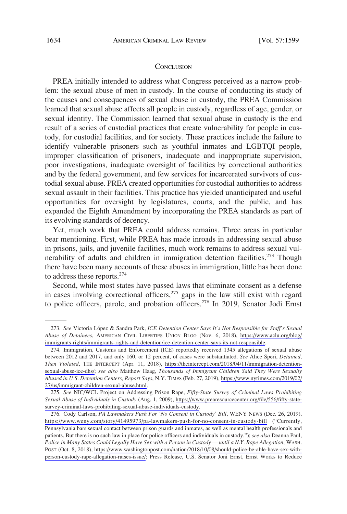#### **CONCLUSION**

PREA initially intended to address what Congress perceived as a narrow problem: the sexual abuse of men in custody. In the course of conducting its study of the causes and consequences of sexual abuse in custody, the PREA Commission learned that sexual abuse affects all people in custody, regardless of age, gender, or sexual identity. The Commission learned that sexual abuse in custody is the end result of a series of custodial practices that create vulnerability for people in custody, for custodial facilities, and for society. These practices include the failure to identify vulnerable prisoners such as youthful inmates and LGBTQI people, improper classification of prisoners, inadequate and inappropriate supervision, poor investigations, inadequate oversight of facilities by correctional authorities and by the federal government, and few services for incarcerated survivors of custodial sexual abuse. PREA created opportunities for custodial authorities to address sexual assault in their facilities. This practice has yielded unanticipated and useful opportunities for oversight by legislatures, courts, and the public, and has expanded the Eighth Amendment by incorporating the PREA standards as part of its evolving standards of decency.

Yet, much work that PREA could address remains. Three areas in particular bear mentioning. First, while PREA has made inroads in addressing sexual abuse in prisons, jails, and juvenile facilities, much work remains to address sexual vulnerability of adults and children in immigration detention facilities.<sup>273</sup> Though there have been many accounts of these abuses in immigration, little has been done to address these reports.274

Second, while most states have passed laws that eliminate consent as a defense in cases involving correctional officers, $275$  gaps in the law still exist with regard to police officers, parole, and probation officers.<sup>276</sup> In 2019, Senator Jodi Ernst

<sup>273.</sup> See Victoria López & Sandra Park, *ICE Detention Center Says It's Not Responsible for Staff's Sexual Abuse of Detainees*, AMERICAN CIVIL LIBERTIES UNION BLOG (Nov. 6, 2018), [https://www.aclu.org/blog/](https://www.aclu.org/blog/immigrants-rights/immigrants-rights-and-detention/ice-detention-center-says-its-not-responsible)  [immigrants-rights/immigrants-rights-and-detention/ice-detention-center-says-its-not-responsible](https://www.aclu.org/blog/immigrants-rights/immigrants-rights-and-detention/ice-detention-center-says-its-not-responsible).

<sup>274.</sup> Immigration, Customs and Enforcement (ICE) reportedly received 1345 allegations of sexual abuse between 2012 and 2017, and only 160, or 12 percent, of cases were substantiated. *See* Alice Speri, *Detained, Then Violated*, THE INTERCEPT (Apr. 11, 2018), [https://theintercept.com/2018/04/11/immigration-detention](https://theintercept.com/2018/04/11/immigration-detention-sexual-abuse-ice-dhs/)[sexual-abuse-ice-dhs/](https://theintercept.com/2018/04/11/immigration-detention-sexual-abuse-ice-dhs/); *see also* Matthew Haag, *Thousands of Immigrant Children Said They Were Sexually Abused in U.S. Detention Centers, Report Says*, N.Y. TIMES (Feb. 27, 2019), [https://www.nytimes.com/2019/02/](https://www.nytimes.com/2019/02/27/us/immigrant-children-sexual-abuse.html) [27/us/immigrant-children-sexual-abuse.html](https://www.nytimes.com/2019/02/27/us/immigrant-children-sexual-abuse.html).

*See* NIC/WCL Project on Addressing Prison Rape, *Fifty-State Survey of Criminal Laws Prohibiting*  275. *Sexual Abuse of Individuals in Custody* (Aug. 1, 2009), [https://www.prearesourcecenter.org/file/556/fifty-state](https://www.prearesourcecenter.org/file/556/fifty-state-survey-criminal-laws-prohibiting-sexual-abuse-individuals-custody)[survey-criminal-laws-prohibiting-sexual-abuse-individuals-custody.](https://www.prearesourcecenter.org/file/556/fifty-state-survey-criminal-laws-prohibiting-sexual-abuse-individuals-custody)

<sup>276.</sup> Cody Carlson, PA Lawmakers Push For 'No Consent in Custody' Bill, WENY NEWS (Dec. 26, 2019), <https://www.weny.com/story/41495973/pa-lawmakers-push-for-no-consent-in-custody-bill> ("Currently, Pennsylvania bars sexual contact between prison guards and inmates, as well as mental health professionals and patients. But there is no such law in place for police officers and individuals in custody."); *see also* Deanna Paul, *Police in Many States Could Legally Have Sex with a Person in Custody — until a N.Y. Rape Allegation*, WASH. POST (Oct. 8, 2018), [https://www.washingtonpost.com/nation/2018/10/08/should-police-be-able-have-sex-with](https://www.washingtonpost.com/nation/2018/10/08/should-police-be-able-have-sex-with-person-custody-rape-allegation-raises-issue/)[person-custody-rape-allegation-raises-issue/](https://www.washingtonpost.com/nation/2018/10/08/should-police-be-able-have-sex-with-person-custody-rape-allegation-raises-issue/); Press Release, U.S. Senator Joni Ernst, Ernst Works to Reduce